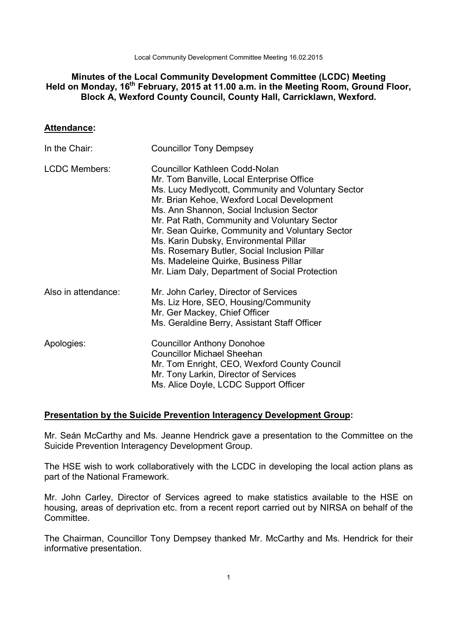Local Community Development Committee Meeting 16.02.2015

# **Minutes of the Local Community Development Committee (LCDC) Meeting Held on Monday, 16th February, 2015 at 11.00 a.m. in the Meeting Room, Ground Floor, Block A, Wexford County Council, County Hall, Carricklawn, Wexford.**

## **Attendance:**

| In the Chair:        | <b>Councillor Tony Dempsey</b>                                                                                                                                                                                                                                                                                                                                                                                                                                                                                      |
|----------------------|---------------------------------------------------------------------------------------------------------------------------------------------------------------------------------------------------------------------------------------------------------------------------------------------------------------------------------------------------------------------------------------------------------------------------------------------------------------------------------------------------------------------|
| <b>LCDC Members:</b> | Councillor Kathleen Codd-Nolan<br>Mr. Tom Banville, Local Enterprise Office<br>Ms. Lucy Medlycott, Community and Voluntary Sector<br>Mr. Brian Kehoe, Wexford Local Development<br>Ms. Ann Shannon, Social Inclusion Sector<br>Mr. Pat Rath, Community and Voluntary Sector<br>Mr. Sean Quirke, Community and Voluntary Sector<br>Ms. Karin Dubsky, Environmental Pillar<br>Ms. Rosemary Butler, Social Inclusion Pillar<br>Ms. Madeleine Quirke, Business Pillar<br>Mr. Liam Daly, Department of Social Protection |
| Also in attendance:  | Mr. John Carley, Director of Services<br>Ms. Liz Hore, SEO, Housing/Community<br>Mr. Ger Mackey, Chief Officer<br>Ms. Geraldine Berry, Assistant Staff Officer                                                                                                                                                                                                                                                                                                                                                      |
| Apologies:           | <b>Councillor Anthony Donohoe</b><br><b>Councillor Michael Sheehan</b><br>Mr. Tom Enright, CEO, Wexford County Council<br>Mr. Tony Larkin, Director of Services<br>Ms. Alice Doyle, LCDC Support Officer                                                                                                                                                                                                                                                                                                            |

## **Presentation by the Suicide Prevention Interagency Development Group:**

Mr. Seán McCarthy and Ms. Jeanne Hendrick gave a presentation to the Committee on the Suicide Prevention Interagency Development Group.

The HSE wish to work collaboratively with the LCDC in developing the local action plans as part of the National Framework.

Mr. John Carley, Director of Services agreed to make statistics available to the HSE on housing, areas of deprivation etc. from a recent report carried out by NIRSA on behalf of the Committee.

The Chairman, Councillor Tony Dempsey thanked Mr. McCarthy and Ms. Hendrick for their informative presentation.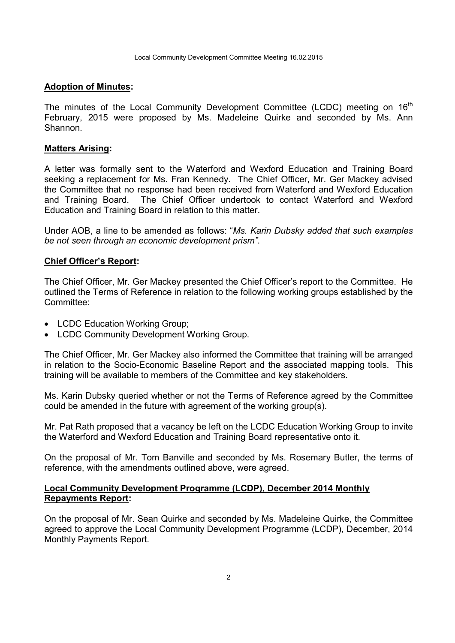### **Adoption of Minutes:**

The minutes of the Local Community Development Committee (LCDC) meeting on  $16<sup>th</sup>$ February, 2015 were proposed by Ms. Madeleine Quirke and seconded by Ms. Ann Shannon.

### **Matters Arising:**

A letter was formally sent to the Waterford and Wexford Education and Training Board seeking a replacement for Ms. Fran Kennedy. The Chief Officer, Mr. Ger Mackey advised the Committee that no response had been received from Waterford and Wexford Education and Training Board. The Chief Officer undertook to contact Waterford and Wexford Education and Training Board in relation to this matter.

Under AOB, a line to be amended as follows: "*Ms. Karin Dubsky added that such examples be not seen through an economic development prism"*.

### **Chief Officer's Report:**

The Chief Officer, Mr. Ger Mackey presented the Chief Officer's report to the Committee. He outlined the Terms of Reference in relation to the following working groups established by the Committee:

- LCDC Education Working Group;
- LCDC Community Development Working Group.

The Chief Officer, Mr. Ger Mackey also informed the Committee that training will be arranged in relation to the Socio-Economic Baseline Report and the associated mapping tools. This training will be available to members of the Committee and key stakeholders.

Ms. Karin Dubsky queried whether or not the Terms of Reference agreed by the Committee could be amended in the future with agreement of the working group(s).

Mr. Pat Rath proposed that a vacancy be left on the LCDC Education Working Group to invite the Waterford and Wexford Education and Training Board representative onto it.

On the proposal of Mr. Tom Banville and seconded by Ms. Rosemary Butler, the terms of reference, with the amendments outlined above, were agreed.

## **Local Community Development Programme (LCDP), December 2014 Monthly Repayments Report:**

On the proposal of Mr. Sean Quirke and seconded by Ms. Madeleine Quirke, the Committee agreed to approve the Local Community Development Programme (LCDP), December, 2014 Monthly Payments Report.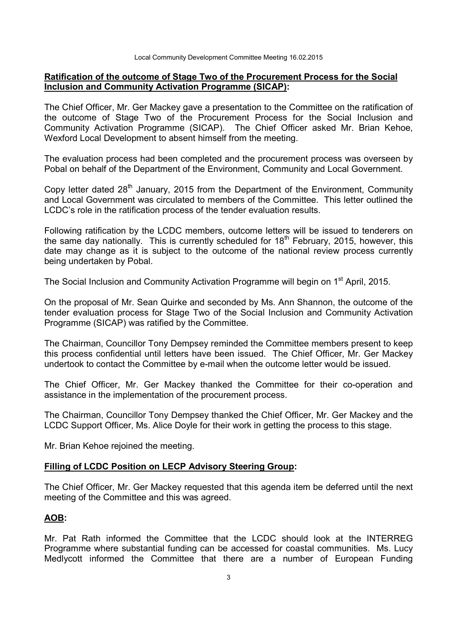## **Ratification of the outcome of Stage Two of the Procurement Process for the Social Inclusion and Community Activation Programme (SICAP):**

The Chief Officer, Mr. Ger Mackey gave a presentation to the Committee on the ratification of the outcome of Stage Two of the Procurement Process for the Social Inclusion and Community Activation Programme (SICAP). The Chief Officer asked Mr. Brian Kehoe, Wexford Local Development to absent himself from the meeting.

The evaluation process had been completed and the procurement process was overseen by Pobal on behalf of the Department of the Environment, Community and Local Government.

Copy letter dated  $28<sup>th</sup>$  January, 2015 from the Department of the Environment, Community and Local Government was circulated to members of the Committee. This letter outlined the LCDC's role in the ratification process of the tender evaluation results.

Following ratification by the LCDC members, outcome letters will be issued to tenderers on the same day nationally. This is currently scheduled for  $18<sup>th</sup>$  February, 2015, however, this date may change as it is subject to the outcome of the national review process currently being undertaken by Pobal.

The Social Inclusion and Community Activation Programme will begin on 1<sup>st</sup> April, 2015.

On the proposal of Mr. Sean Quirke and seconded by Ms. Ann Shannon, the outcome of the tender evaluation process for Stage Two of the Social Inclusion and Community Activation Programme (SICAP) was ratified by the Committee.

The Chairman, Councillor Tony Dempsey reminded the Committee members present to keep this process confidential until letters have been issued. The Chief Officer, Mr. Ger Mackey undertook to contact the Committee by e-mail when the outcome letter would be issued.

The Chief Officer, Mr. Ger Mackey thanked the Committee for their co-operation and assistance in the implementation of the procurement process.

The Chairman, Councillor Tony Dempsey thanked the Chief Officer, Mr. Ger Mackey and the LCDC Support Officer, Ms. Alice Doyle for their work in getting the process to this stage.

Mr. Brian Kehoe rejoined the meeting.

## **Filling of LCDC Position on LECP Advisory Steering Group:**

The Chief Officer, Mr. Ger Mackey requested that this agenda item be deferred until the next meeting of the Committee and this was agreed.

## **AOB:**

Mr. Pat Rath informed the Committee that the LCDC should look at the INTERREG Programme where substantial funding can be accessed for coastal communities. Ms. Lucy Medlycott informed the Committee that there are a number of European Funding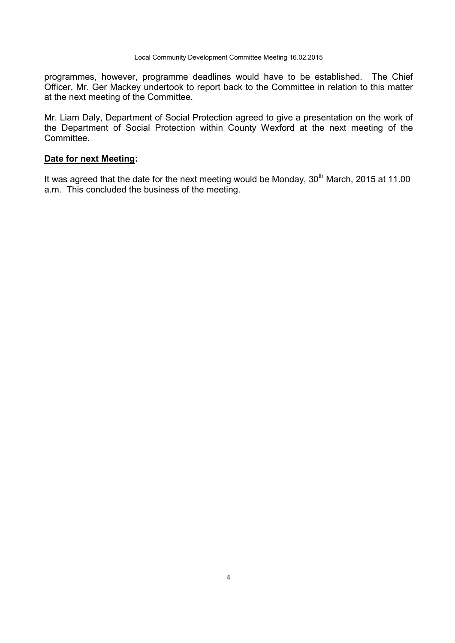programmes, however, programme deadlines would have to be established. The Chief Officer, Mr. Ger Mackey undertook to report back to the Committee in relation to this matter at the next meeting of the Committee.

Mr. Liam Daly, Department of Social Protection agreed to give a presentation on the work of the Department of Social Protection within County Wexford at the next meeting of the Committee.

### **Date for next Meeting:**

It was agreed that the date for the next meeting would be Monday, 30<sup>th</sup> March, 2015 at 11.00 a.m. This concluded the business of the meeting.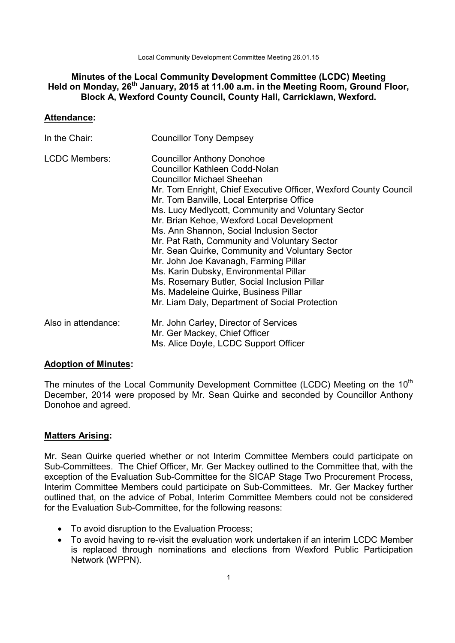Local Community Development Committee Meeting 26.01.15

# **Minutes of the Local Community Development Committee (LCDC) Meeting Held on Monday, 26th January, 2015 at 11.00 a.m. in the Meeting Room, Ground Floor, Block A, Wexford County Council, County Hall, Carricklawn, Wexford.**

## **Attendance:**

| In the Chair:        | <b>Councillor Tony Dempsey</b>                                                                                                                                                                                                                                                                                                                                                                                                                                                                                                                                                                                                                                                                                    |
|----------------------|-------------------------------------------------------------------------------------------------------------------------------------------------------------------------------------------------------------------------------------------------------------------------------------------------------------------------------------------------------------------------------------------------------------------------------------------------------------------------------------------------------------------------------------------------------------------------------------------------------------------------------------------------------------------------------------------------------------------|
| <b>LCDC Members:</b> | <b>Councillor Anthony Donohoe</b><br><b>Councillor Kathleen Codd-Nolan</b><br><b>Councillor Michael Sheehan</b><br>Mr. Tom Enright, Chief Executive Officer, Wexford County Council<br>Mr. Tom Banville, Local Enterprise Office<br>Ms. Lucy Medlycott, Community and Voluntary Sector<br>Mr. Brian Kehoe, Wexford Local Development<br>Ms. Ann Shannon, Social Inclusion Sector<br>Mr. Pat Rath, Community and Voluntary Sector<br>Mr. Sean Quirke, Community and Voluntary Sector<br>Mr. John Joe Kavanagh, Farming Pillar<br>Ms. Karin Dubsky, Environmental Pillar<br>Ms. Rosemary Butler, Social Inclusion Pillar<br>Ms. Madeleine Quirke, Business Pillar<br>Mr. Liam Daly, Department of Social Protection |
| Also in attendance:  | Mr. John Carley, Director of Services<br>Mr. Ger Mackey, Chief Officer<br>Ms. Alice Doyle, LCDC Support Officer                                                                                                                                                                                                                                                                                                                                                                                                                                                                                                                                                                                                   |

### **Adoption of Minutes:**

The minutes of the Local Community Development Committee (LCDC) Meeting on the  $10<sup>th</sup>$ December, 2014 were proposed by Mr. Sean Quirke and seconded by Councillor Anthony Donohoe and agreed.

## **Matters Arising:**

Mr. Sean Quirke queried whether or not Interim Committee Members could participate on Sub-Committees. The Chief Officer, Mr. Ger Mackey outlined to the Committee that, with the exception of the Evaluation Sub-Committee for the SICAP Stage Two Procurement Process, Interim Committee Members could participate on Sub-Committees. Mr. Ger Mackey further outlined that, on the advice of Pobal, Interim Committee Members could not be considered for the Evaluation Sub-Committee, for the following reasons:

- To avoid disruption to the Evaluation Process;
- To avoid having to re-visit the evaluation work undertaken if an interim LCDC Member is replaced through nominations and elections from Wexford Public Participation Network (WPPN).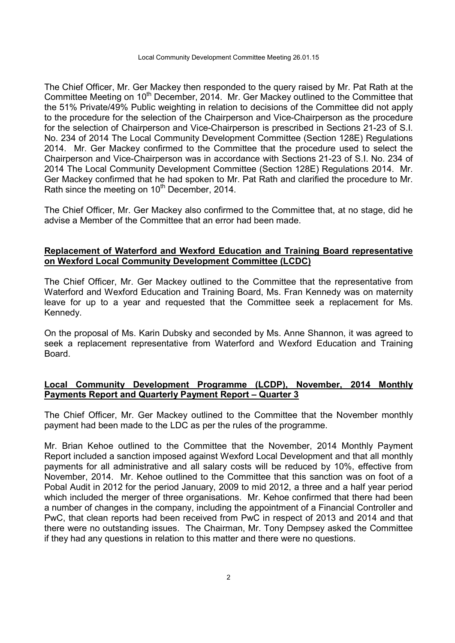The Chief Officer, Mr. Ger Mackey then responded to the query raised by Mr. Pat Rath at the Committee Meeting on 10<sup>th</sup> December, 2014. Mr. Ger Mackey outlined to the Committee that the 51% Private/49% Public weighting in relation to decisions of the Committee did not apply to the procedure for the selection of the Chairperson and Vice-Chairperson as the procedure for the selection of Chairperson and Vice-Chairperson is prescribed in Sections 21-23 of S.I. No. 234 of 2014 The Local Community Development Committee (Section 128E) Regulations 2014. Mr. Ger Mackey confirmed to the Committee that the procedure used to select the Chairperson and Vice-Chairperson was in accordance with Sections 21-23 of S.I. No. 234 of 2014 The Local Community Development Committee (Section 128E) Regulations 2014. Mr. Ger Mackey confirmed that he had spoken to Mr. Pat Rath and clarified the procedure to Mr. Rath since the meeting on 10<sup>th</sup> December, 2014.

The Chief Officer, Mr. Ger Mackey also confirmed to the Committee that, at no stage, did he advise a Member of the Committee that an error had been made.

## **Replacement of Waterford and Wexford Education and Training Board representative on Wexford Local Community Development Committee (LCDC)**

The Chief Officer, Mr. Ger Mackey outlined to the Committee that the representative from Waterford and Wexford Education and Training Board, Ms. Fran Kennedy was on maternity leave for up to a year and requested that the Committee seek a replacement for Ms. Kennedy.

On the proposal of Ms. Karin Dubsky and seconded by Ms. Anne Shannon, it was agreed to seek a replacement representative from Waterford and Wexford Education and Training Board.

# **Local Community Development Programme (LCDP), November, 2014 Monthly Payments Report and Quarterly Payment Report – Quarter 3**

The Chief Officer, Mr. Ger Mackey outlined to the Committee that the November monthly payment had been made to the LDC as per the rules of the programme.

Mr. Brian Kehoe outlined to the Committee that the November, 2014 Monthly Payment Report included a sanction imposed against Wexford Local Development and that all monthly payments for all administrative and all salary costs will be reduced by 10%, effective from November, 2014. Mr. Kehoe outlined to the Committee that this sanction was on foot of a Pobal Audit in 2012 for the period January, 2009 to mid 2012, a three and a half year period which included the merger of three organisations. Mr. Kehoe confirmed that there had been a number of changes in the company, including the appointment of a Financial Controller and PwC, that clean reports had been received from PwC in respect of 2013 and 2014 and that there were no outstanding issues. The Chairman, Mr. Tony Dempsey asked the Committee if they had any questions in relation to this matter and there were no questions.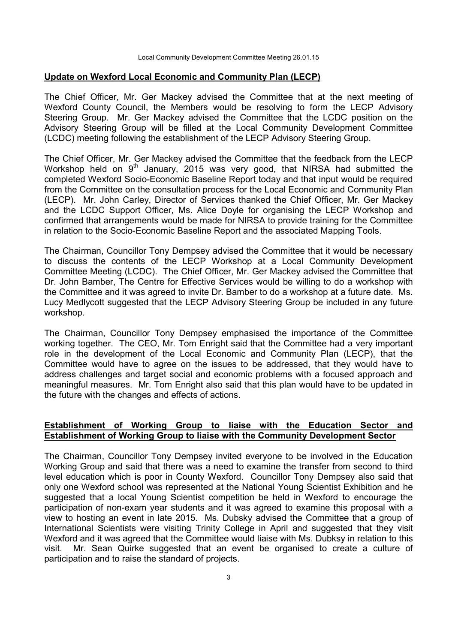#### **Update on Wexford Local Economic and Community Plan (LECP)**

The Chief Officer, Mr. Ger Mackey advised the Committee that at the next meeting of Wexford County Council, the Members would be resolving to form the LECP Advisory Steering Group. Mr. Ger Mackey advised the Committee that the LCDC position on the Advisory Steering Group will be filled at the Local Community Development Committee (LCDC) meeting following the establishment of the LECP Advisory Steering Group.

The Chief Officer, Mr. Ger Mackey advised the Committee that the feedback from the LECP Workshop held on  $9<sup>th</sup>$  January, 2015 was very good, that NIRSA had submitted the completed Wexford Socio-Economic Baseline Report today and that input would be required from the Committee on the consultation process for the Local Economic and Community Plan (LECP). Mr. John Carley, Director of Services thanked the Chief Officer, Mr. Ger Mackey and the LCDC Support Officer, Ms. Alice Doyle for organising the LECP Workshop and confirmed that arrangements would be made for NIRSA to provide training for the Committee in relation to the Socio-Economic Baseline Report and the associated Mapping Tools.

The Chairman, Councillor Tony Dempsey advised the Committee that it would be necessary to discuss the contents of the LECP Workshop at a Local Community Development Committee Meeting (LCDC). The Chief Officer, Mr. Ger Mackey advised the Committee that Dr. John Bamber, The Centre for Effective Services would be willing to do a workshop with the Committee and it was agreed to invite Dr. Bamber to do a workshop at a future date. Ms. Lucy Medlycott suggested that the LECP Advisory Steering Group be included in any future workshop.

The Chairman, Councillor Tony Dempsey emphasised the importance of the Committee working together. The CEO, Mr. Tom Enright said that the Committee had a very important role in the development of the Local Economic and Community Plan (LECP), that the Committee would have to agree on the issues to be addressed, that they would have to address challenges and target social and economic problems with a focused approach and meaningful measures. Mr. Tom Enright also said that this plan would have to be updated in the future with the changes and effects of actions.

## **Establishment of Working Group to liaise with the Education Sector and Establishment of Working Group to liaise with the Community Development Sector**

The Chairman, Councillor Tony Dempsey invited everyone to be involved in the Education Working Group and said that there was a need to examine the transfer from second to third level education which is poor in County Wexford. Councillor Tony Dempsey also said that only one Wexford school was represented at the National Young Scientist Exhibition and he suggested that a local Young Scientist competition be held in Wexford to encourage the participation of non-exam year students and it was agreed to examine this proposal with a view to hosting an event in late 2015. Ms. Dubsky advised the Committee that a group of International Scientists were visiting Trinity College in April and suggested that they visit Wexford and it was agreed that the Committee would liaise with Ms. Dubksy in relation to this visit. Mr. Sean Quirke suggested that an event be organised to create a culture of participation and to raise the standard of projects.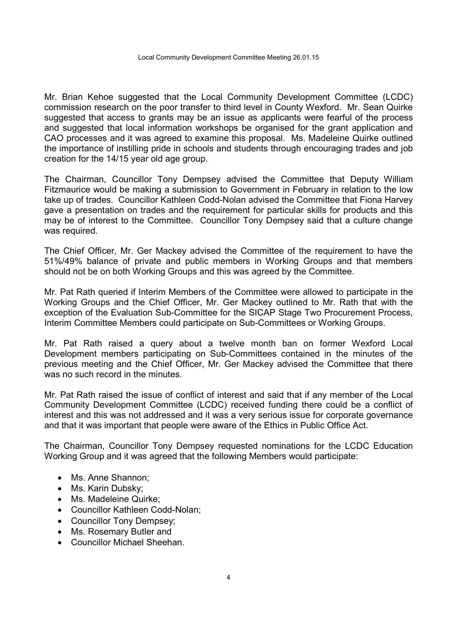Mr. Brian Kehoe suggested that the Local Community Development Committee (LCDC) commission research on the poor transfer to third level in County Wexford. Mr. Sean Quirke suggested that access to grants may be an issue as applicants were fearful of the process and suggested that local information workshops be organised for the grant application and CAO processes and it was agreed to examine this proposal. Ms. Madeleine Quirke outlined the importance of instilling pride in schools and students through encouraging trades and job creation for the 14/15 year old age group.

The Chairman, Councillor Tony Dempsey advised the Committee that Deputy William Fitzmaurice would be making a submission to Government in February in relation to the low take up of trades. Councillor Kathleen Codd-Nolan advised the Committee that Fiona Harvey gave a presentation on trades and the requirement for particular skills for products and this may be of interest to the Committee. Councillor Tony Dempsey said that a culture change was required.

The Chief Officer, Mr. Ger Mackey advised the Committee of the requirement to have the 51%/49% balance of private and public members in Working Groups and that members should not be on both Working Groups and this was agreed by the Committee.

Mr. Pat Rath queried if Interim Members of the Committee were allowed to participate in the Working Groups and the Chief Officer, Mr. Ger Mackey outlined to Mr. Rath that with the exception of the Evaluation Sub-Committee for the SICAP Stage Two Procurement Process, Interim Committee Members could participate on Sub-Committees or Working Groups.

Mr. Pat Rath raised a query about a twelve month ban on former Wexford Local Development members participating on Sub-Committees contained in the minutes of the previous meeting and the Chief Officer, Mr. Ger Mackey advised the Committee that there was no such record in the minutes.

Mr. Pat Rath raised the issue of conflict of interest and said that if any member of the Local Community Development Committee (LCDC) received funding there could be a conflict of interest and this was not addressed and it was a very serious issue for corporate governance and that it was important that people were aware of the Ethics in Public Office Act.

The Chairman, Councillor Tony Dempsey requested nominations for the LCDC Education Working Group and it was agreed that the following Members would participate:

- Ms. Anne Shannon:
- Ms. Karin Dubsky;
- Ms. Madeleine Quirke:
- Councillor Kathleen Codd-Nolan;
- Councillor Tony Dempsey;
- Ms. Rosemary Butler and
- Councillor Michael Sheehan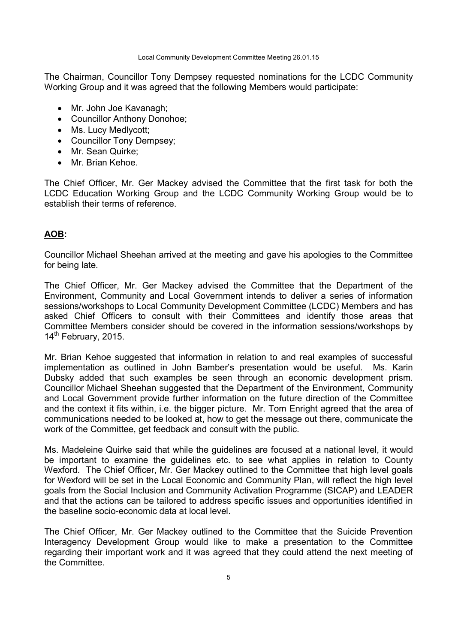Local Community Development Committee Meeting 26.01.15

The Chairman, Councillor Tony Dempsey requested nominations for the LCDC Community Working Group and it was agreed that the following Members would participate:

- Mr. John Joe Kavanagh;
- Councillor Anthony Donohoe;
- Ms. Lucy Medlycott:
- Councillor Tony Dempsey;
- Mr. Sean Quirke;
- Mr. Brian Kehoe.

The Chief Officer, Mr. Ger Mackey advised the Committee that the first task for both the LCDC Education Working Group and the LCDC Community Working Group would be to establish their terms of reference.

# **AOB:**

Councillor Michael Sheehan arrived at the meeting and gave his apologies to the Committee for being late.

The Chief Officer, Mr. Ger Mackey advised the Committee that the Department of the Environment, Community and Local Government intends to deliver a series of information sessions/workshops to Local Community Development Committee (LCDC) Members and has asked Chief Officers to consult with their Committees and identify those areas that Committee Members consider should be covered in the information sessions/workshops by 14<sup>th</sup> February, 2015.

Mr. Brian Kehoe suggested that information in relation to and real examples of successful implementation as outlined in John Bamber's presentation would be useful. Ms. Karin Dubsky added that such examples be seen through an economic development prism. Councillor Michael Sheehan suggested that the Department of the Environment, Community and Local Government provide further information on the future direction of the Committee and the context it fits within, i.e. the bigger picture. Mr. Tom Enright agreed that the area of communications needed to be looked at, how to get the message out there, communicate the work of the Committee, get feedback and consult with the public.

Ms. Madeleine Quirke said that while the guidelines are focused at a national level, it would be important to examine the guidelines etc. to see what applies in relation to County Wexford. The Chief Officer, Mr. Ger Mackey outlined to the Committee that high level goals for Wexford will be set in the Local Economic and Community Plan, will reflect the high level goals from the Social Inclusion and Community Activation Programme (SICAP) and LEADER and that the actions can be tailored to address specific issues and opportunities identified in the baseline socio-economic data at local level.

The Chief Officer, Mr. Ger Mackey outlined to the Committee that the Suicide Prevention Interagency Development Group would like to make a presentation to the Committee regarding their important work and it was agreed that they could attend the next meeting of the Committee.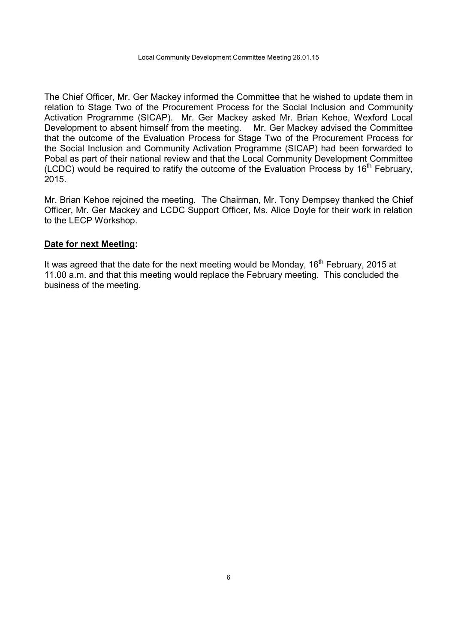The Chief Officer, Mr. Ger Mackey informed the Committee that he wished to update them in relation to Stage Two of the Procurement Process for the Social Inclusion and Community Activation Programme (SICAP). Mr. Ger Mackey asked Mr. Brian Kehoe, Wexford Local Development to absent himself from the meeting. Mr. Ger Mackey advised the Committee that the outcome of the Evaluation Process for Stage Two of the Procurement Process for the Social Inclusion and Community Activation Programme (SICAP) had been forwarded to Pobal as part of their national review and that the Local Community Development Committee (LCDC) would be required to ratify the outcome of the Evaluation Process by  $16<sup>th</sup>$  February, 2015.

Mr. Brian Kehoe rejoined the meeting. The Chairman, Mr. Tony Dempsey thanked the Chief Officer, Mr. Ger Mackey and LCDC Support Officer, Ms. Alice Doyle for their work in relation to the LECP Workshop.

## **Date for next Meeting:**

It was agreed that the date for the next meeting would be Monday,  $16<sup>th</sup>$  February, 2015 at 11.00 a.m. and that this meeting would replace the February meeting. This concluded the business of the meeting.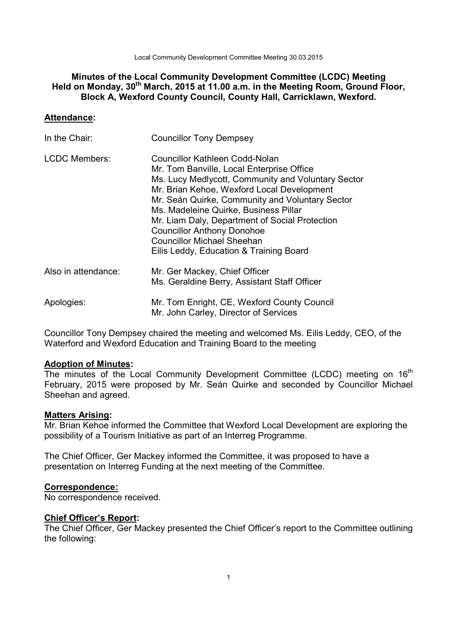Local Community Development Committee Meeting 30.03.2015

# **Minutes of the Local Community Development Committee (LCDC) Meeting Held on Monday, 30th March, 2015 at 11.00 a.m. in the Meeting Room, Ground Floor, Block A, Wexford County Council, County Hall, Carricklawn, Wexford.**

## **Attendance:**

| In the Chair:        | <b>Councillor Tony Dempsey</b>                                                                                                                                                                                                                                                                                                                                                                                                                     |
|----------------------|----------------------------------------------------------------------------------------------------------------------------------------------------------------------------------------------------------------------------------------------------------------------------------------------------------------------------------------------------------------------------------------------------------------------------------------------------|
| <b>LCDC Members:</b> | Councillor Kathleen Codd-Nolan<br>Mr. Tom Banville, Local Enterprise Office<br>Ms. Lucy Medlycott, Community and Voluntary Sector<br>Mr. Brian Kehoe, Wexford Local Development<br>Mr. Seán Quirke, Community and Voluntary Sector<br>Ms. Madeleine Quirke, Business Pillar<br>Mr. Liam Daly, Department of Social Protection<br><b>Councillor Anthony Donohoe</b><br><b>Councillor Michael Sheehan</b><br>Eilis Leddy, Education & Training Board |
| Also in attendance:  | Mr. Ger Mackey, Chief Officer<br>Ms. Geraldine Berry, Assistant Staff Officer                                                                                                                                                                                                                                                                                                                                                                      |
| Apologies:           | Mr. Tom Enright, CE, Wexford County Council<br>Mr. John Carley, Director of Services                                                                                                                                                                                                                                                                                                                                                               |

Councillor Tony Dempsey chaired the meeting and welcomed Ms. Eilis Leddy, CEO, of the Waterford and Wexford Education and Training Board to the meeting

## **Adoption of Minutes:**

The minutes of the Local Community Development Committee (LCDC) meeting on  $16<sup>th</sup>$ February, 2015 were proposed by Mr. Seán Quirke and seconded by Councillor Michael Sheehan and agreed.

## **Matters Arising:**

Mr. Brian Kehoe informed the Committee that Wexford Local Development are exploring the possibility of a Tourism Initiative as part of an Interreg Programme.

The Chief Officer, Ger Mackey informed the Committee, it was proposed to have a presentation on Interreg Funding at the next meeting of the Committee.

## **Correspondence:**

No correspondence received.

## **Chief Officer's Report:**

The Chief Officer, Ger Mackey presented the Chief Officer's report to the Committee outlining the following: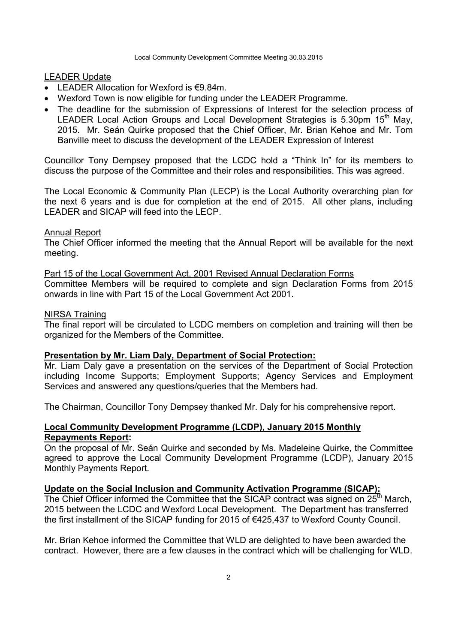### LEADER Update

- LEADER Allocation for Wexford is €9.84m.
- Wexford Town is now eligible for funding under the LEADER Programme.
- The deadline for the submission of Expressions of Interest for the selection process of LEADER Local Action Groups and Local Development Strategies is 5.30pm 15<sup>th</sup> May, 2015. Mr. Seán Quirke proposed that the Chief Officer, Mr. Brian Kehoe and Mr. Tom Banville meet to discuss the development of the LEADER Expression of Interest

Councillor Tony Dempsey proposed that the LCDC hold a "Think In" for its members to discuss the purpose of the Committee and their roles and responsibilities. This was agreed.

The Local Economic & Community Plan (LECP) is the Local Authority overarching plan for the next 6 years and is due for completion at the end of 2015. All other plans, including LEADER and SICAP will feed into the LECP.

#### Annual Report

The Chief Officer informed the meeting that the Annual Report will be available for the next meeting.

Part 15 of the Local Government Act, 2001 Revised Annual Declaration Forms Committee Members will be required to complete and sign Declaration Forms from 2015 onwards in line with Part 15 of the Local Government Act 2001.

#### NIRSA Training

The final report will be circulated to LCDC members on completion and training will then be organized for the Members of the Committee.

#### **Presentation by Mr. Liam Daly, Department of Social Protection:**

Mr. Liam Daly gave a presentation on the services of the Department of Social Protection including Income Supports; Employment Supports; Agency Services and Employment Services and answered any questions/queries that the Members had.

The Chairman, Councillor Tony Dempsey thanked Mr. Daly for his comprehensive report.

# **Local Community Development Programme (LCDP), January 2015 Monthly Repayments Report:**

On the proposal of Mr. Seán Quirke and seconded by Ms. Madeleine Quirke, the Committee agreed to approve the Local Community Development Programme (LCDP), January 2015 Monthly Payments Report.

### **Update on the Social Inclusion and Community Activation Programme (SICAP):**

The Chief Officer informed the Committee that the SICAP contract was signed on  $25<sup>th</sup>$  March, 2015 between the LCDC and Wexford Local Development. The Department has transferred the first installment of the SICAP funding for 2015 of €425,437 to Wexford County Council.

Mr. Brian Kehoe informed the Committee that WLD are delighted to have been awarded the contract. However, there are a few clauses in the contract which will be challenging for WLD.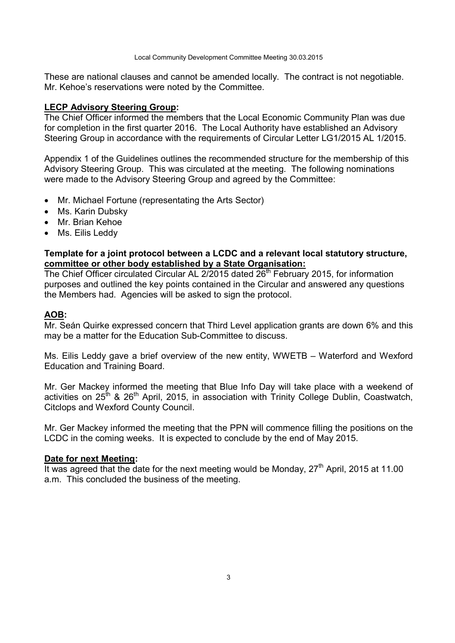These are national clauses and cannot be amended locally. The contract is not negotiable. Mr. Kehoe's reservations were noted by the Committee.

## **LECP Advisory Steering Group:**

The Chief Officer informed the members that the Local Economic Community Plan was due for completion in the first quarter 2016. The Local Authority have established an Advisory Steering Group in accordance with the requirements of Circular Letter LG1/2015 AL 1/2015.

Appendix 1 of the Guidelines outlines the recommended structure for the membership of this Advisory Steering Group. This was circulated at the meeting. The following nominations were made to the Advisory Steering Group and agreed by the Committee:

- Mr. Michael Fortune (representating the Arts Sector)
- Ms. Karin Dubsky
- Mr. Brian Kehoe
- Ms. Eilis Leddy

# **Template for a joint protocol between a LCDC and a relevant local statutory structure, committee or other body established by a State Organisation:**

The Chief Officer circulated Circular AL 2/2015 dated 26<sup>th</sup> February 2015, for information purposes and outlined the key points contained in the Circular and answered any questions the Members had. Agencies will be asked to sign the protocol.

# **AOB:**

Mr. Seán Quirke expressed concern that Third Level application grants are down 6% and this may be a matter for the Education Sub-Committee to discuss.

Ms. Eilis Leddy gave a brief overview of the new entity, WWETB – Waterford and Wexford Education and Training Board.

Mr. Ger Mackey informed the meeting that Blue Info Day will take place with a weekend of activities on  $25<sup>th</sup>$  &  $26<sup>th</sup>$  April, 2015, in association with Trinity College Dublin, Coastwatch, Citclops and Wexford County Council.

Mr. Ger Mackey informed the meeting that the PPN will commence filling the positions on the LCDC in the coming weeks. It is expected to conclude by the end of May 2015.

## **Date for next Meeting:**

It was agreed that the date for the next meeting would be Monday,  $27<sup>th</sup>$  April, 2015 at 11.00 a.m. This concluded the business of the meeting.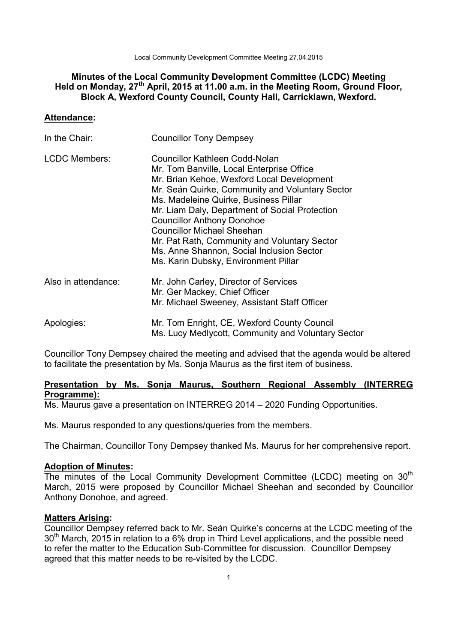Local Community Development Committee Meeting 27.04.2015

# **Minutes of the Local Community Development Committee (LCDC) Meeting Held on Monday, 27th April, 2015 at 11.00 a.m. in the Meeting Room, Ground Floor, Block A, Wexford County Council, County Hall, Carricklawn, Wexford.**

### **Attendance:**

| In the Chair:        | <b>Councillor Tony Dempsey</b>                                                                                                                                                                                                                                                                                                                                                                                                                                                                |
|----------------------|-----------------------------------------------------------------------------------------------------------------------------------------------------------------------------------------------------------------------------------------------------------------------------------------------------------------------------------------------------------------------------------------------------------------------------------------------------------------------------------------------|
| <b>LCDC Members:</b> | <b>Councillor Kathleen Codd-Nolan</b><br>Mr. Tom Banville, Local Enterprise Office<br>Mr. Brian Kehoe, Wexford Local Development<br>Mr. Seán Quirke, Community and Voluntary Sector<br>Ms. Madeleine Quirke, Business Pillar<br>Mr. Liam Daly, Department of Social Protection<br><b>Councillor Anthony Donohoe</b><br><b>Councillor Michael Sheehan</b><br>Mr. Pat Rath, Community and Voluntary Sector<br>Ms. Anne Shannon, Social Inclusion Sector<br>Ms. Karin Dubsky, Environment Pillar |
| Also in attendance:  | Mr. John Carley, Director of Services<br>Mr. Ger Mackey, Chief Officer<br>Mr. Michael Sweeney, Assistant Staff Officer                                                                                                                                                                                                                                                                                                                                                                        |
| Apologies:           | Mr. Tom Enright, CE, Wexford County Council<br>Ms. Lucy Medlycott, Community and Voluntary Sector                                                                                                                                                                                                                                                                                                                                                                                             |

Councillor Tony Dempsey chaired the meeting and advised that the agenda would be altered to facilitate the presentation by Ms. Sonja Maurus as the first item of business.

# **Presentation by Ms. Sonja Maurus, Southern Regional Assembly (INTERREG Programme):**

Ms. Maurus gave a presentation on INTERREG 2014 – 2020 Funding Opportunities.

Ms. Maurus responded to any questions/queries from the members.

The Chairman, Councillor Tony Dempsey thanked Ms. Maurus for her comprehensive report.

# **Adoption of Minutes:**

The minutes of the Local Community Development Committee (LCDC) meeting on 30<sup>th</sup> March, 2015 were proposed by Councillor Michael Sheehan and seconded by Councillor Anthony Donohoe, and agreed.

## **Matters Arising:**

Councillor Dempsey referred back to Mr. Seán Quirke's concerns at the LCDC meeting of the  $30<sup>th</sup>$  March, 2015 in relation to a 6% drop in Third Level applications, and the possible need to refer the matter to the Education Sub-Committee for discussion. Councillor Dempsey agreed that this matter needs to be re-visited by the LCDC.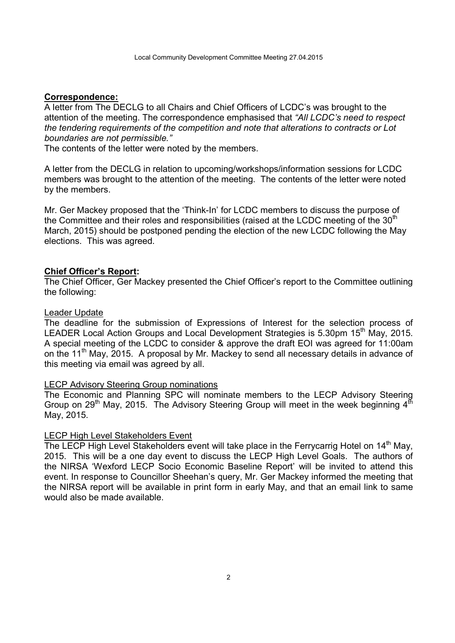### **Correspondence:**

A letter from The DECLG to all Chairs and Chief Officers of LCDC's was brought to the attention of the meeting. The correspondence emphasised that *"All LCDC's need to respect the tendering requirements of the competition and note that alterations to contracts or Lot boundaries are not permissible."* 

The contents of the letter were noted by the members.

A letter from the DECLG in relation to upcoming/workshops/information sessions for LCDC members was brought to the attention of the meeting. The contents of the letter were noted by the members.

Mr. Ger Mackey proposed that the 'Think-In' for LCDC members to discuss the purpose of the Committee and their roles and responsibilities (raised at the LCDC meeting of the  $30<sup>th</sup>$ March, 2015) should be postponed pending the election of the new LCDC following the May elections. This was agreed.

### **Chief Officer's Report:**

The Chief Officer, Ger Mackey presented the Chief Officer's report to the Committee outlining the following:

### Leader Update

The deadline for the submission of Expressions of Interest for the selection process of LEADER Local Action Groups and Local Development Strategies is 5.30pm 15<sup>th</sup> May, 2015. A special meeting of the LCDC to consider & approve the draft EOI was agreed for 11:00am on the 11<sup>th</sup> May, 2015. A proposal by Mr. Mackey to send all necessary details in advance of this meeting via email was agreed by all.

### LECP Advisory Steering Group nominations

The Economic and Planning SPC will nominate members to the LECP Advisory Steering Group on  $29<sup>th</sup>$  May, 2015. The Advisory Steering Group will meet in the week beginning  $4<sup>th</sup>$ May, 2015.

### LECP High Level Stakeholders Event

The LECP High Level Stakeholders event will take place in the Ferrycarrig Hotel on  $14<sup>th</sup>$  May, 2015. This will be a one day event to discuss the LECP High Level Goals. The authors of the NIRSA 'Wexford LECP Socio Economic Baseline Report' will be invited to attend this event. In response to Councillor Sheehan's query, Mr. Ger Mackey informed the meeting that the NIRSA report will be available in print form in early May, and that an email link to same would also be made available.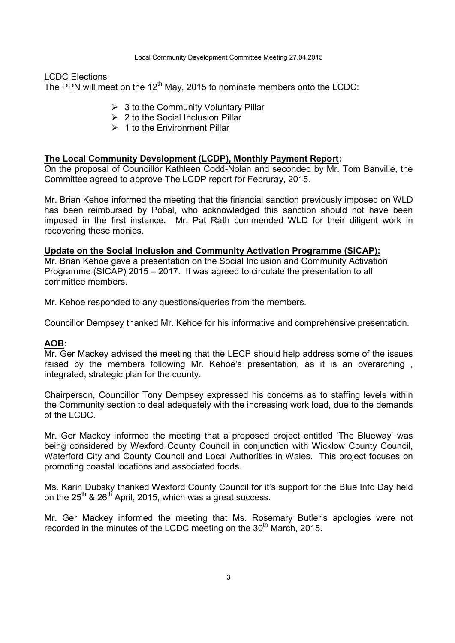#### LCDC Elections

The PPN will meet on the  $12<sup>th</sup>$  May, 2015 to nominate members onto the LCDC:

- $\geq$  3 to the Community Voluntary Pillar
- $\geq 2$  to the Social Inclusion Pillar
- $\geq 1$  to the Environment Pillar

#### **The Local Community Development (LCDP), Monthly Payment Report:**

On the proposal of Councillor Kathleen Codd-Nolan and seconded by Mr. Tom Banville, the Committee agreed to approve The LCDP report for Februray, 2015.

Mr. Brian Kehoe informed the meeting that the financial sanction previously imposed on WLD has been reimbursed by Pobal, who acknowledged this sanction should not have been imposed in the first instance. Mr. Pat Rath commended WLD for their diligent work in recovering these monies.

#### **Update on the Social Inclusion and Community Activation Programme (SICAP):**

Mr. Brian Kehoe gave a presentation on the Social Inclusion and Community Activation Programme (SICAP) 2015 – 2017. It was agreed to circulate the presentation to all committee members.

Mr. Kehoe responded to any questions/queries from the members.

Councillor Dempsey thanked Mr. Kehoe for his informative and comprehensive presentation.

#### **AOB:**

Mr. Ger Mackey advised the meeting that the LECP should help address some of the issues raised by the members following Mr. Kehoe's presentation, as it is an overarching , integrated, strategic plan for the county.

Chairperson, Councillor Tony Dempsey expressed his concerns as to staffing levels within the Community section to deal adequately with the increasing work load, due to the demands of the LCDC.

Mr. Ger Mackey informed the meeting that a proposed project entitled 'The Blueway' was being considered by Wexford County Council in conjunction with Wicklow County Council, Waterford City and County Council and Local Authorities in Wales. This project focuses on promoting coastal locations and associated foods.

Ms. Karin Dubsky thanked Wexford County Council for it's support for the Blue Info Day held on the  $25<sup>th</sup>$  &  $26<sup>th</sup>$  April, 2015, which was a great success.

Mr. Ger Mackey informed the meeting that Ms. Rosemary Butler's apologies were not recorded in the minutes of the LCDC meeting on the  $30<sup>th</sup>$  March, 2015.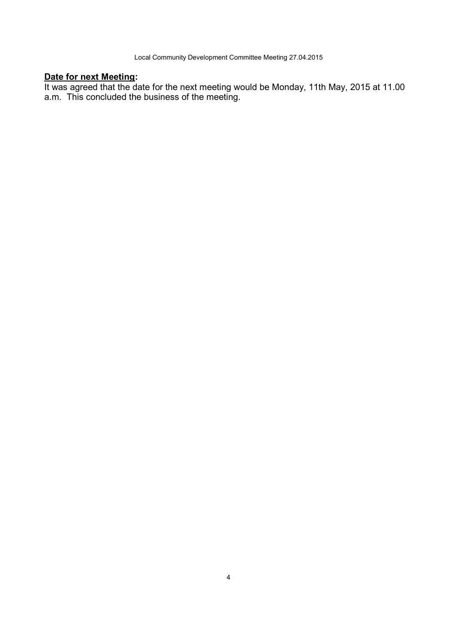### **Date for next Meeting:**

It was agreed that the date for the next meeting would be Monday, 11th May, 2015 at 11.00 a.m. This concluded the business of the meeting.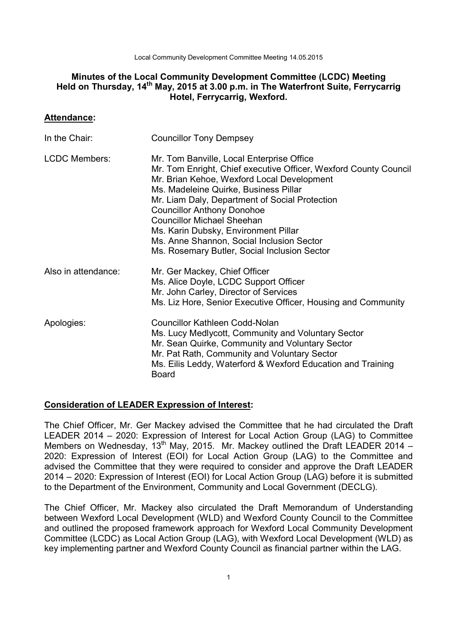Local Community Development Committee Meeting 14.05.2015

## **Minutes of the Local Community Development Committee (LCDC) Meeting Held on Thursday, 14th May, 2015 at 3.00 p.m. in The Waterfront Suite, Ferrycarrig Hotel, Ferrycarrig, Wexford.**

## **Attendance:**

| In the Chair:        | <b>Councillor Tony Dempsey</b>                                                                                                                                                                                                                                                                                                                                                                                                                                        |
|----------------------|-----------------------------------------------------------------------------------------------------------------------------------------------------------------------------------------------------------------------------------------------------------------------------------------------------------------------------------------------------------------------------------------------------------------------------------------------------------------------|
| <b>LCDC Members:</b> | Mr. Tom Banville, Local Enterprise Office<br>Mr. Tom Enright, Chief executive Officer, Wexford County Council<br>Mr. Brian Kehoe, Wexford Local Development<br>Ms. Madeleine Quirke, Business Pillar<br>Mr. Liam Daly, Department of Social Protection<br><b>Councillor Anthony Donohoe</b><br><b>Councillor Michael Sheehan</b><br>Ms. Karin Dubsky, Environment Pillar<br>Ms. Anne Shannon, Social Inclusion Sector<br>Ms. Rosemary Butler, Social Inclusion Sector |
| Also in attendance:  | Mr. Ger Mackey, Chief Officer<br>Ms. Alice Doyle, LCDC Support Officer<br>Mr. John Carley, Director of Services<br>Ms. Liz Hore, Senior Executive Officer, Housing and Community                                                                                                                                                                                                                                                                                      |
| Apologies:           | <b>Councillor Kathleen Codd-Nolan</b><br>Ms. Lucy Medlycott, Community and Voluntary Sector<br>Mr. Sean Quirke, Community and Voluntary Sector<br>Mr. Pat Rath, Community and Voluntary Sector<br>Ms. Eilis Leddy, Waterford & Wexford Education and Training<br><b>Board</b>                                                                                                                                                                                         |

## **Consideration of LEADER Expression of Interest:**

The Chief Officer, Mr. Ger Mackey advised the Committee that he had circulated the Draft LEADER 2014 – 2020: Expression of Interest for Local Action Group (LAG) to Committee Members on Wednesday,  $13^{th}$  May, 2015. Mr. Mackey outlined the Draft LEADER 2014 – 2020: Expression of Interest (EOI) for Local Action Group (LAG) to the Committee and advised the Committee that they were required to consider and approve the Draft LEADER 2014 – 2020: Expression of Interest (EOI) for Local Action Group (LAG) before it is submitted to the Department of the Environment, Community and Local Government (DECLG).

The Chief Officer, Mr. Mackey also circulated the Draft Memorandum of Understanding between Wexford Local Development (WLD) and Wexford County Council to the Committee and outlined the proposed framework approach for Wexford Local Community Development Committee (LCDC) as Local Action Group (LAG), with Wexford Local Development (WLD) as key implementing partner and Wexford County Council as financial partner within the LAG.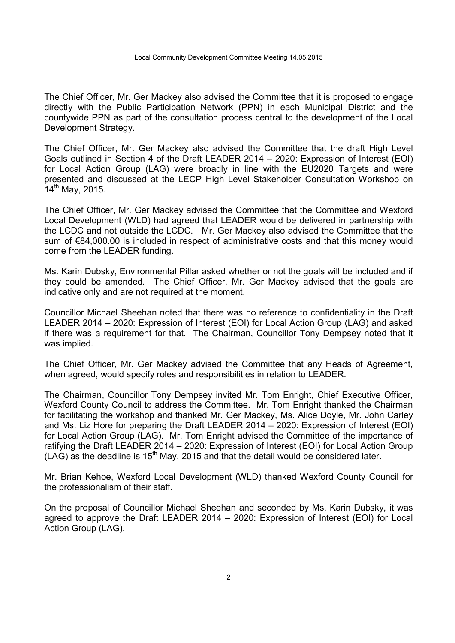The Chief Officer, Mr. Ger Mackey also advised the Committee that it is proposed to engage directly with the Public Participation Network (PPN) in each Municipal District and the countywide PPN as part of the consultation process central to the development of the Local Development Strategy.

The Chief Officer, Mr. Ger Mackey also advised the Committee that the draft High Level Goals outlined in Section 4 of the Draft LEADER 2014 – 2020: Expression of Interest (EOI) for Local Action Group (LAG) were broadly in line with the EU2020 Targets and were presented and discussed at the LECP High Level Stakeholder Consultation Workshop on  $14^{th}$  May, 2015.

The Chief Officer, Mr. Ger Mackey advised the Committee that the Committee and Wexford Local Development (WLD) had agreed that LEADER would be delivered in partnership with the LCDC and not outside the LCDC. Mr. Ger Mackey also advised the Committee that the sum of €84,000.00 is included in respect of administrative costs and that this money would come from the LEADER funding.

Ms. Karin Dubsky, Environmental Pillar asked whether or not the goals will be included and if they could be amended. The Chief Officer, Mr. Ger Mackey advised that the goals are indicative only and are not required at the moment.

Councillor Michael Sheehan noted that there was no reference to confidentiality in the Draft LEADER 2014 – 2020: Expression of Interest (EOI) for Local Action Group (LAG) and asked if there was a requirement for that. The Chairman, Councillor Tony Dempsey noted that it was implied.

The Chief Officer, Mr. Ger Mackey advised the Committee that any Heads of Agreement, when agreed, would specify roles and responsibilities in relation to LEADER.

The Chairman, Councillor Tony Dempsey invited Mr. Tom Enright, Chief Executive Officer, Wexford County Council to address the Committee. Mr. Tom Enright thanked the Chairman for facilitating the workshop and thanked Mr. Ger Mackey, Ms. Alice Doyle, Mr. John Carley and Ms. Liz Hore for preparing the Draft LEADER 2014 – 2020: Expression of Interest (EOI) for Local Action Group (LAG). Mr. Tom Enright advised the Committee of the importance of ratifying the Draft LEADER 2014 – 2020: Expression of Interest (EOI) for Local Action Group  $(LAG)$  as the deadline is 15<sup>th</sup> May, 2015 and that the detail would be considered later.

Mr. Brian Kehoe, Wexford Local Development (WLD) thanked Wexford County Council for the professionalism of their staff.

On the proposal of Councillor Michael Sheehan and seconded by Ms. Karin Dubsky, it was agreed to approve the Draft LEADER 2014 – 2020: Expression of Interest (EOI) for Local Action Group (LAG).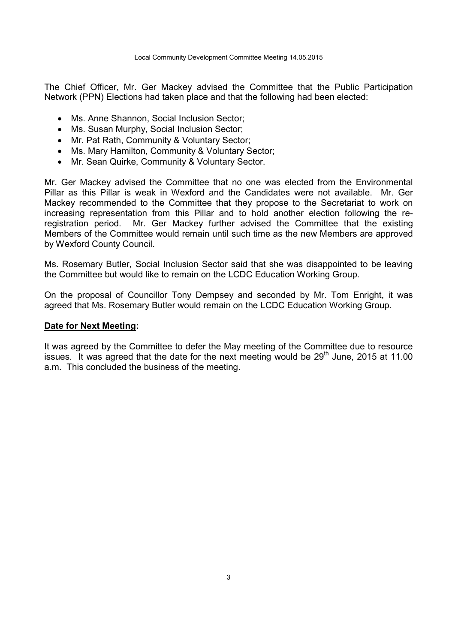The Chief Officer, Mr. Ger Mackey advised the Committee that the Public Participation Network (PPN) Elections had taken place and that the following had been elected:

- Ms. Anne Shannon, Social Inclusion Sector;
- Ms. Susan Murphy, Social Inclusion Sector;
- Mr. Pat Rath, Community & Voluntary Sector;
- Ms. Mary Hamilton, Community & Voluntary Sector;
- Mr. Sean Quirke, Community & Voluntary Sector.

Mr. Ger Mackey advised the Committee that no one was elected from the Environmental Pillar as this Pillar is weak in Wexford and the Candidates were not available. Mr. Ger Mackey recommended to the Committee that they propose to the Secretariat to work on increasing representation from this Pillar and to hold another election following the reregistration period. Mr. Ger Mackey further advised the Committee that the existing Members of the Committee would remain until such time as the new Members are approved by Wexford County Council.

Ms. Rosemary Butler, Social Inclusion Sector said that she was disappointed to be leaving the Committee but would like to remain on the LCDC Education Working Group.

On the proposal of Councillor Tony Dempsey and seconded by Mr. Tom Enright, it was agreed that Ms. Rosemary Butler would remain on the LCDC Education Working Group.

### **Date for Next Meeting:**

It was agreed by the Committee to defer the May meeting of the Committee due to resource issues. It was agreed that the date for the next meeting would be  $29<sup>th</sup>$  June, 2015 at 11.00 a.m. This concluded the business of the meeting.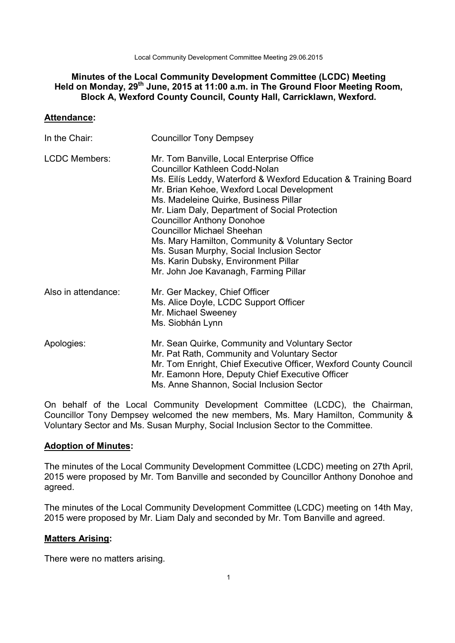Local Community Development Committee Meeting 29.06.2015

# **Minutes of the Local Community Development Committee (LCDC) Meeting Held on Monday, 29th June, 2015 at 11:00 a.m. in The Ground Floor Meeting Room, Block A, Wexford County Council, County Hall, Carricklawn, Wexford.**

## **Attendance:**

| In the Chair:        | <b>Councillor Tony Dempsey</b>                                                                                                                                                                                                                                                                                                                                                                                                                                                                                                                            |
|----------------------|-----------------------------------------------------------------------------------------------------------------------------------------------------------------------------------------------------------------------------------------------------------------------------------------------------------------------------------------------------------------------------------------------------------------------------------------------------------------------------------------------------------------------------------------------------------|
| <b>LCDC Members:</b> | Mr. Tom Banville, Local Enterprise Office<br><b>Councillor Kathleen Codd-Nolan</b><br>Ms. Eilis Leddy, Waterford & Wexford Education & Training Board<br>Mr. Brian Kehoe, Wexford Local Development<br>Ms. Madeleine Quirke, Business Pillar<br>Mr. Liam Daly, Department of Social Protection<br><b>Councillor Anthony Donohoe</b><br><b>Councillor Michael Sheehan</b><br>Ms. Mary Hamilton, Community & Voluntary Sector<br>Ms. Susan Murphy, Social Inclusion Sector<br>Ms. Karin Dubsky, Environment Pillar<br>Mr. John Joe Kavanagh, Farming Pillar |
| Also in attendance:  | Mr. Ger Mackey, Chief Officer<br>Ms. Alice Doyle, LCDC Support Officer<br>Mr. Michael Sweeney<br>Ms. Siobhán Lynn                                                                                                                                                                                                                                                                                                                                                                                                                                         |
| Apologies:           | Mr. Sean Quirke, Community and Voluntary Sector<br>Mr. Pat Rath, Community and Voluntary Sector<br>Mr. Tom Enright, Chief Executive Officer, Wexford County Council<br>Mr. Eamonn Hore, Deputy Chief Executive Officer<br>Ms. Anne Shannon, Social Inclusion Sector                                                                                                                                                                                                                                                                                       |

On behalf of the Local Community Development Committee (LCDC), the Chairman, Councillor Tony Dempsey welcomed the new members, Ms. Mary Hamilton, Community & Voluntary Sector and Ms. Susan Murphy, Social Inclusion Sector to the Committee.

## **Adoption of Minutes:**

The minutes of the Local Community Development Committee (LCDC) meeting on 27th April, 2015 were proposed by Mr. Tom Banville and seconded by Councillor Anthony Donohoe and agreed.

The minutes of the Local Community Development Committee (LCDC) meeting on 14th May, 2015 were proposed by Mr. Liam Daly and seconded by Mr. Tom Banville and agreed.

# **Matters Arising:**

There were no matters arising.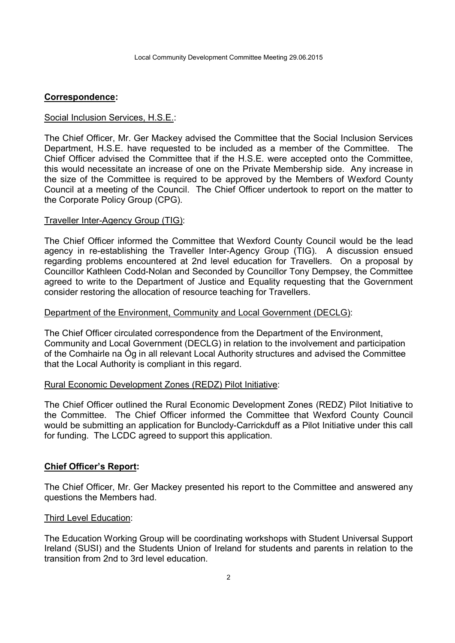### **Correspondence:**

### Social Inclusion Services, H.S.E.:

The Chief Officer, Mr. Ger Mackey advised the Committee that the Social Inclusion Services Department, H.S.E. have requested to be included as a member of the Committee. The Chief Officer advised the Committee that if the H.S.E. were accepted onto the Committee, this would necessitate an increase of one on the Private Membership side. Any increase in the size of the Committee is required to be approved by the Members of Wexford County Council at a meeting of the Council. The Chief Officer undertook to report on the matter to the Corporate Policy Group (CPG).

### Traveller Inter-Agency Group (TIG):

The Chief Officer informed the Committee that Wexford County Council would be the lead agency in re-establishing the Traveller Inter-Agency Group (TIG). A discussion ensued regarding problems encountered at 2nd level education for Travellers. On a proposal by Councillor Kathleen Codd-Nolan and Seconded by Councillor Tony Dempsey, the Committee agreed to write to the Department of Justice and Equality requesting that the Government consider restoring the allocation of resource teaching for Travellers.

### Department of the Environment, Community and Local Government (DECLG):

The Chief Officer circulated correspondence from the Department of the Environment, Community and Local Government (DECLG) in relation to the involvement and participation of the Comhairle na Óg in all relevant Local Authority structures and advised the Committee that the Local Authority is compliant in this regard.

### Rural Economic Development Zones (REDZ) Pilot Initiative:

The Chief Officer outlined the Rural Economic Development Zones (REDZ) Pilot Initiative to the Committee. The Chief Officer informed the Committee that Wexford County Council would be submitting an application for Bunclody-Carrickduff as a Pilot Initiative under this call for funding. The LCDC agreed to support this application.

## **Chief Officer's Report:**

The Chief Officer, Mr. Ger Mackey presented his report to the Committee and answered any questions the Members had.

### Third Level Education:

The Education Working Group will be coordinating workshops with Student Universal Support Ireland (SUSI) and the Students Union of Ireland for students and parents in relation to the transition from 2nd to 3rd level education.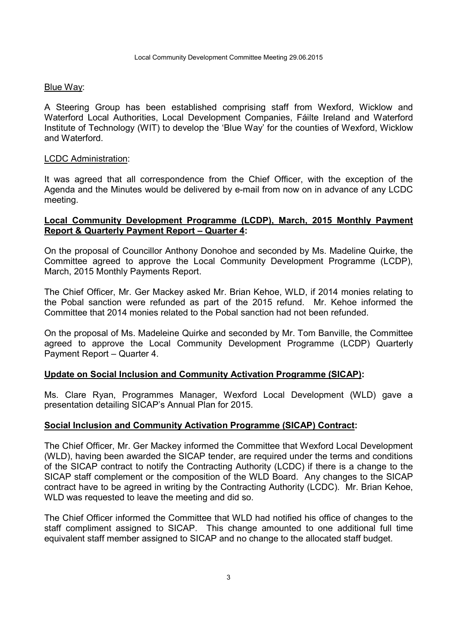### Blue Way:

A Steering Group has been established comprising staff from Wexford, Wicklow and Waterford Local Authorities, Local Development Companies, Fáilte Ireland and Waterford Institute of Technology (WIT) to develop the 'Blue Way' for the counties of Wexford, Wicklow and Waterford.

### LCDC Administration:

It was agreed that all correspondence from the Chief Officer, with the exception of the Agenda and the Minutes would be delivered by e-mail from now on in advance of any LCDC meeting.

## **Local Community Development Programme (LCDP), March, 2015 Monthly Payment Report & Quarterly Payment Report – Quarter 4:**

On the proposal of Councillor Anthony Donohoe and seconded by Ms. Madeline Quirke, the Committee agreed to approve the Local Community Development Programme (LCDP), March, 2015 Monthly Payments Report.

The Chief Officer, Mr. Ger Mackey asked Mr. Brian Kehoe, WLD, if 2014 monies relating to the Pobal sanction were refunded as part of the 2015 refund. Mr. Kehoe informed the Committee that 2014 monies related to the Pobal sanction had not been refunded.

On the proposal of Ms. Madeleine Quirke and seconded by Mr. Tom Banville, the Committee agreed to approve the Local Community Development Programme (LCDP) Quarterly Payment Report – Quarter 4.

## **Update on Social Inclusion and Community Activation Programme (SICAP):**

Ms. Clare Ryan, Programmes Manager, Wexford Local Development (WLD) gave a presentation detailing SICAP's Annual Plan for 2015.

## **Social Inclusion and Community Activation Programme (SICAP) Contract:**

The Chief Officer, Mr. Ger Mackey informed the Committee that Wexford Local Development (WLD), having been awarded the SICAP tender, are required under the terms and conditions of the SICAP contract to notify the Contracting Authority (LCDC) if there is a change to the SICAP staff complement or the composition of the WLD Board. Any changes to the SICAP contract have to be agreed in writing by the Contracting Authority (LCDC). Mr. Brian Kehoe, WLD was requested to leave the meeting and did so.

The Chief Officer informed the Committee that WLD had notified his office of changes to the staff compliment assigned to SICAP. This change amounted to one additional full time equivalent staff member assigned to SICAP and no change to the allocated staff budget.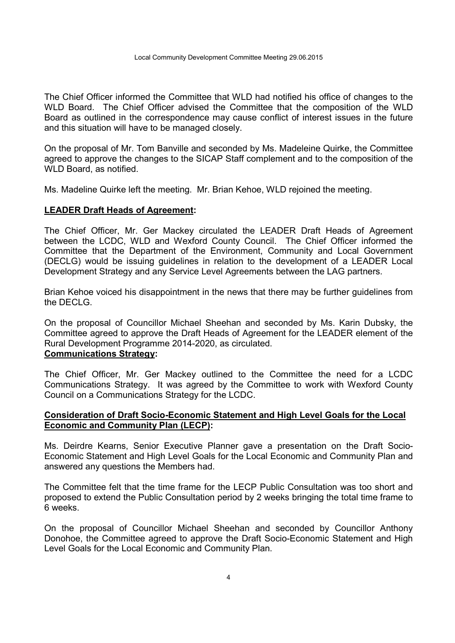The Chief Officer informed the Committee that WLD had notified his office of changes to the WLD Board. The Chief Officer advised the Committee that the composition of the WLD Board as outlined in the correspondence may cause conflict of interest issues in the future and this situation will have to be managed closely.

On the proposal of Mr. Tom Banville and seconded by Ms. Madeleine Quirke, the Committee agreed to approve the changes to the SICAP Staff complement and to the composition of the WLD Board, as notified.

Ms. Madeline Quirke left the meeting. Mr. Brian Kehoe, WLD rejoined the meeting.

## **LEADER Draft Heads of Agreement:**

The Chief Officer, Mr. Ger Mackey circulated the LEADER Draft Heads of Agreement between the LCDC, WLD and Wexford County Council. The Chief Officer informed the Committee that the Department of the Environment, Community and Local Government (DECLG) would be issuing guidelines in relation to the development of a LEADER Local Development Strategy and any Service Level Agreements between the LAG partners.

Brian Kehoe voiced his disappointment in the news that there may be further guidelines from the DECLG.

On the proposal of Councillor Michael Sheehan and seconded by Ms. Karin Dubsky, the Committee agreed to approve the Draft Heads of Agreement for the LEADER element of the Rural Development Programme 2014-2020, as circulated. **Communications Strategy:** 

The Chief Officer, Mr. Ger Mackey outlined to the Committee the need for a LCDC Communications Strategy. It was agreed by the Committee to work with Wexford County Council on a Communications Strategy for the LCDC.

# **Consideration of Draft Socio-Economic Statement and High Level Goals for the Local Economic and Community Plan (LECP):**

Ms. Deirdre Kearns, Senior Executive Planner gave a presentation on the Draft Socio-Economic Statement and High Level Goals for the Local Economic and Community Plan and answered any questions the Members had.

The Committee felt that the time frame for the LECP Public Consultation was too short and proposed to extend the Public Consultation period by 2 weeks bringing the total time frame to 6 weeks.

On the proposal of Councillor Michael Sheehan and seconded by Councillor Anthony Donohoe, the Committee agreed to approve the Draft Socio-Economic Statement and High Level Goals for the Local Economic and Community Plan.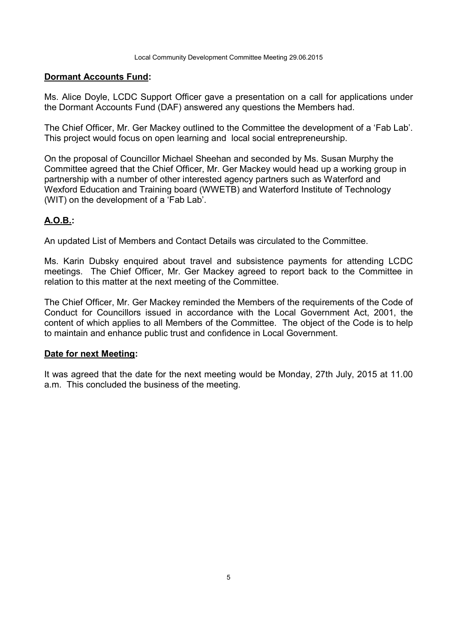### **Dormant Accounts Fund:**

Ms. Alice Doyle, LCDC Support Officer gave a presentation on a call for applications under the Dormant Accounts Fund (DAF) answered any questions the Members had.

The Chief Officer, Mr. Ger Mackey outlined to the Committee the development of a 'Fab Lab'. This project would focus on open learning and local social entrepreneurship.

On the proposal of Councillor Michael Sheehan and seconded by Ms. Susan Murphy the Committee agreed that the Chief Officer, Mr. Ger Mackey would head up a working group in partnership with a number of other interested agency partners such as Waterford and Wexford Education and Training board (WWETB) and Waterford Institute of Technology (WIT) on the development of a 'Fab Lab'.

# **A.O.B.:**

An updated List of Members and Contact Details was circulated to the Committee.

Ms. Karin Dubsky enquired about travel and subsistence payments for attending LCDC meetings. The Chief Officer, Mr. Ger Mackey agreed to report back to the Committee in relation to this matter at the next meeting of the Committee.

The Chief Officer, Mr. Ger Mackey reminded the Members of the requirements of the Code of Conduct for Councillors issued in accordance with the Local Government Act, 2001, the content of which applies to all Members of the Committee. The object of the Code is to help to maintain and enhance public trust and confidence in Local Government.

### **Date for next Meeting:**

It was agreed that the date for the next meeting would be Monday, 27th July, 2015 at 11.00 a.m. This concluded the business of the meeting.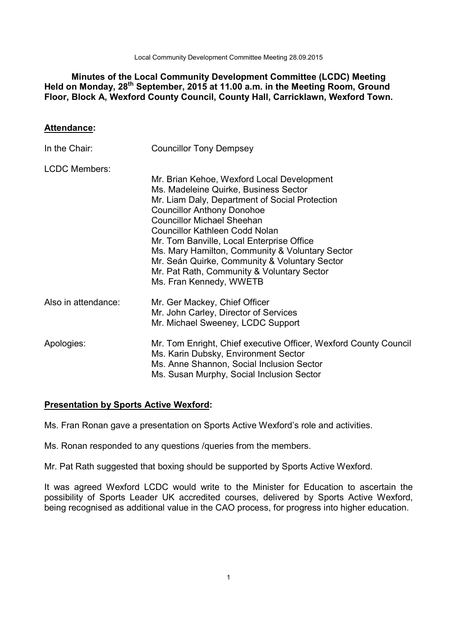Local Community Development Committee Meeting 28.09.2015

# **Minutes of the Local Community Development Committee (LCDC) Meeting Held on Monday, 28th September, 2015 at 11.00 a.m. in the Meeting Room, Ground Floor, Block A, Wexford County Council, County Hall, Carricklawn, Wexford Town.**

## **Attendance:**

| In the Chair:        | <b>Councillor Tony Dempsey</b>                                                                                                                                                                                                                                                                                                                                                                                                                                                     |
|----------------------|------------------------------------------------------------------------------------------------------------------------------------------------------------------------------------------------------------------------------------------------------------------------------------------------------------------------------------------------------------------------------------------------------------------------------------------------------------------------------------|
| <b>LCDC Members:</b> | Mr. Brian Kehoe, Wexford Local Development<br>Ms. Madeleine Quirke, Business Sector<br>Mr. Liam Daly, Department of Social Protection<br><b>Councillor Anthony Donohoe</b><br><b>Councillor Michael Sheehan</b><br><b>Councillor Kathleen Codd Nolan</b><br>Mr. Tom Banville, Local Enterprise Office<br>Ms. Mary Hamilton, Community & Voluntary Sector<br>Mr. Seán Quirke, Community & Voluntary Sector<br>Mr. Pat Rath, Community & Voluntary Sector<br>Ms. Fran Kennedy, WWETB |
| Also in attendance:  | Mr. Ger Mackey, Chief Officer<br>Mr. John Carley, Director of Services<br>Mr. Michael Sweeney, LCDC Support                                                                                                                                                                                                                                                                                                                                                                        |
| Apologies:           | Mr. Tom Enright, Chief executive Officer, Wexford County Council<br>Ms. Karin Dubsky, Environment Sector<br>Ms. Anne Shannon, Social Inclusion Sector<br>Ms. Susan Murphy, Social Inclusion Sector                                                                                                                                                                                                                                                                                 |

# **Presentation by Sports Active Wexford:**

Ms. Fran Ronan gave a presentation on Sports Active Wexford's role and activities.

Ms. Ronan responded to any questions /queries from the members.

Mr. Pat Rath suggested that boxing should be supported by Sports Active Wexford.

It was agreed Wexford LCDC would write to the Minister for Education to ascertain the possibility of Sports Leader UK accredited courses, delivered by Sports Active Wexford, being recognised as additional value in the CAO process, for progress into higher education.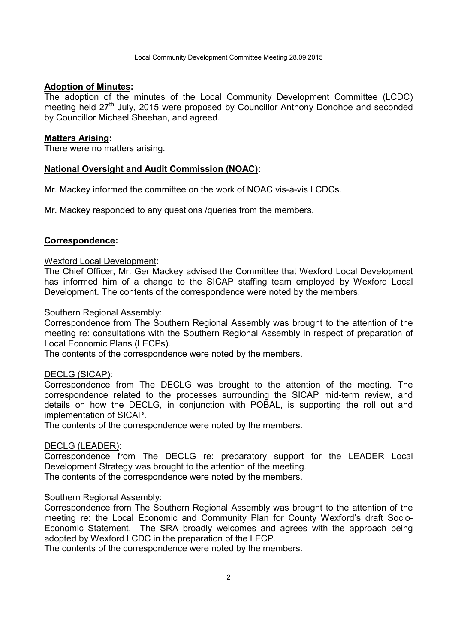### **Adoption of Minutes:**

The adoption of the minutes of the Local Community Development Committee (LCDC) meeting held 27<sup>th</sup> July, 2015 were proposed by Councillor Anthony Donohoe and seconded by Councillor Michael Sheehan, and agreed.

#### **Matters Arising:**

There were no matters arising.

### **National Oversight and Audit Commission (NOAC):**

Mr. Mackey informed the committee on the work of NOAC vis-á-vis LCDCs.

Mr. Mackey responded to any questions /queries from the members.

### **Correspondence:**

#### Wexford Local Development:

The Chief Officer, Mr. Ger Mackey advised the Committee that Wexford Local Development has informed him of a change to the SICAP staffing team employed by Wexford Local Development. The contents of the correspondence were noted by the members.

#### Southern Regional Assembly:

Correspondence from The Southern Regional Assembly was brought to the attention of the meeting re: consultations with the Southern Regional Assembly in respect of preparation of Local Economic Plans (LECPs).

The contents of the correspondence were noted by the members.

### DECLG (SICAP):

Correspondence from The DECLG was brought to the attention of the meeting. The correspondence related to the processes surrounding the SICAP mid-term review, and details on how the DECLG, in conjunction with POBAL, is supporting the roll out and implementation of SICAP.

The contents of the correspondence were noted by the members.

### DECLG (LEADER):

Correspondence from The DECLG re: preparatory support for the LEADER Local Development Strategy was brought to the attention of the meeting.

The contents of the correspondence were noted by the members.

### Southern Regional Assembly:

Correspondence from The Southern Regional Assembly was brought to the attention of the meeting re: the Local Economic and Community Plan for County Wexford's draft Socio-Economic Statement. The SRA broadly welcomes and agrees with the approach being adopted by Wexford LCDC in the preparation of the LECP.

The contents of the correspondence were noted by the members.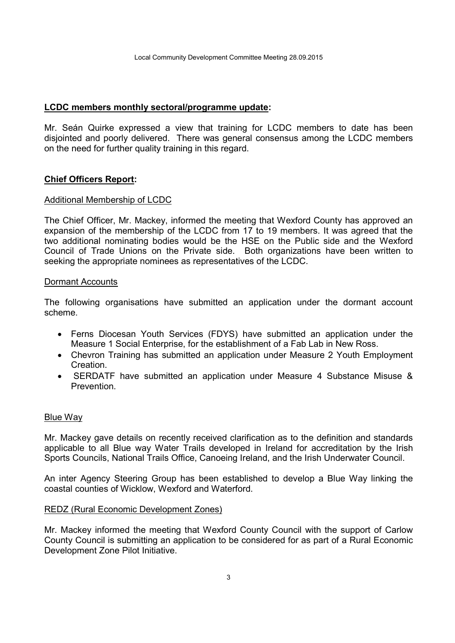### **LCDC members monthly sectoral/programme update:**

Mr. Seán Quirke expressed a view that training for LCDC members to date has been disjointed and poorly delivered. There was general consensus among the LCDC members on the need for further quality training in this regard.

## **Chief Officers Report:**

### Additional Membership of LCDC

The Chief Officer, Mr. Mackey, informed the meeting that Wexford County has approved an expansion of the membership of the LCDC from 17 to 19 members. It was agreed that the two additional nominating bodies would be the HSE on the Public side and the Wexford Council of Trade Unions on the Private side. Both organizations have been written to seeking the appropriate nominees as representatives of the LCDC.

### Dormant Accounts

The following organisations have submitted an application under the dormant account scheme.

- Ferns Diocesan Youth Services (FDYS) have submitted an application under the Measure 1 Social Enterprise, for the establishment of a Fab Lab in New Ross.
- Chevron Training has submitted an application under Measure 2 Youth Employment **Creation**
- SERDATF have submitted an application under Measure 4 Substance Misuse & **Prevention**

### Blue Way

Mr. Mackey gave details on recently received clarification as to the definition and standards applicable to all Blue way Water Trails developed in Ireland for accreditation by the Irish Sports Councils, National Trails Office, Canoeing Ireland, and the Irish Underwater Council.

An inter Agency Steering Group has been established to develop a Blue Way linking the coastal counties of Wicklow, Wexford and Waterford.

### REDZ (Rural Economic Development Zones)

Mr. Mackey informed the meeting that Wexford County Council with the support of Carlow County Council is submitting an application to be considered for as part of a Rural Economic Development Zone Pilot Initiative.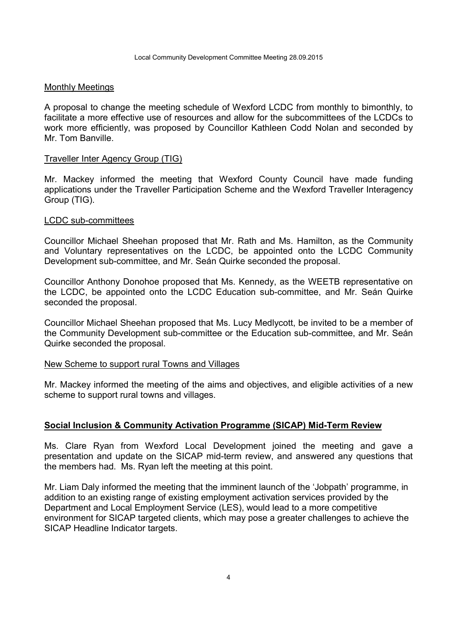### Monthly Meetings

A proposal to change the meeting schedule of Wexford LCDC from monthly to bimonthly, to facilitate a more effective use of resources and allow for the subcommittees of the LCDCs to work more efficiently, was proposed by Councillor Kathleen Codd Nolan and seconded by Mr. Tom Banville.

### Traveller Inter Agency Group (TIG)

Mr. Mackey informed the meeting that Wexford County Council have made funding applications under the Traveller Participation Scheme and the Wexford Traveller Interagency Group (TIG).

#### LCDC sub-committees

Councillor Michael Sheehan proposed that Mr. Rath and Ms. Hamilton, as the Community and Voluntary representatives on the LCDC, be appointed onto the LCDC Community Development sub-committee, and Mr. Seán Quirke seconded the proposal.

Councillor Anthony Donohoe proposed that Ms. Kennedy, as the WEETB representative on the LCDC, be appointed onto the LCDC Education sub-committee, and Mr. Seán Quirke seconded the proposal.

Councillor Michael Sheehan proposed that Ms. Lucy Medlycott, be invited to be a member of the Community Development sub-committee or the Education sub-committee, and Mr. Seán Quirke seconded the proposal.

### New Scheme to support rural Towns and Villages

Mr. Mackey informed the meeting of the aims and objectives, and eligible activities of a new scheme to support rural towns and villages.

## **Social Inclusion & Community Activation Programme (SICAP) Mid-Term Review**

Ms. Clare Ryan from Wexford Local Development joined the meeting and gave a presentation and update on the SICAP mid-term review, and answered any questions that the members had. Ms. Ryan left the meeting at this point.

Mr. Liam Daly informed the meeting that the imminent launch of the 'Jobpath' programme, in addition to an existing range of existing employment activation services provided by the Department and Local Employment Service (LES), would lead to a more competitive environment for SICAP targeted clients, which may pose a greater challenges to achieve the SICAP Headline Indicator targets.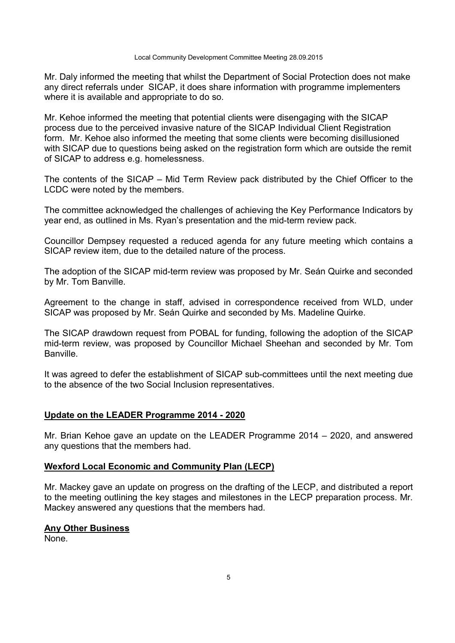Mr. Daly informed the meeting that whilst the Department of Social Protection does not make any direct referrals under SICAP, it does share information with programme implementers where it is available and appropriate to do so.

Mr. Kehoe informed the meeting that potential clients were disengaging with the SICAP process due to the perceived invasive nature of the SICAP Individual Client Registration form. Mr. Kehoe also informed the meeting that some clients were becoming disillusioned with SICAP due to questions being asked on the registration form which are outside the remit of SICAP to address e.g. homelessness.

The contents of the SICAP – Mid Term Review pack distributed by the Chief Officer to the LCDC were noted by the members.

The committee acknowledged the challenges of achieving the Key Performance Indicators by year end, as outlined in Ms. Ryan's presentation and the mid-term review pack.

Councillor Dempsey requested a reduced agenda for any future meeting which contains a SICAP review item, due to the detailed nature of the process.

The adoption of the SICAP mid-term review was proposed by Mr. Seán Quirke and seconded by Mr. Tom Banville.

Agreement to the change in staff, advised in correspondence received from WLD, under SICAP was proposed by Mr. Seán Quirke and seconded by Ms. Madeline Quirke.

The SICAP drawdown request from POBAL for funding, following the adoption of the SICAP mid-term review, was proposed by Councillor Michael Sheehan and seconded by Mr. Tom Banville.

It was agreed to defer the establishment of SICAP sub-committees until the next meeting due to the absence of the two Social Inclusion representatives.

## **Update on the LEADER Programme 2014 - 2020**

Mr. Brian Kehoe gave an update on the LEADER Programme 2014 – 2020, and answered any questions that the members had.

## **Wexford Local Economic and Community Plan (LECP)**

Mr. Mackey gave an update on progress on the drafting of the LECP, and distributed a report to the meeting outlining the key stages and milestones in the LECP preparation process. Mr. Mackey answered any questions that the members had.

## **Any Other Business**

None.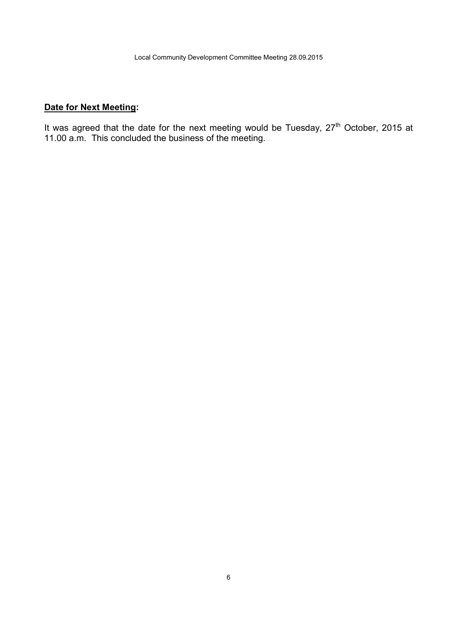# **Date for Next Meeting:**

It was agreed that the date for the next meeting would be Tuesday, 27<sup>th</sup> October, 2015 at 11.00 a.m. This concluded the business of the meeting.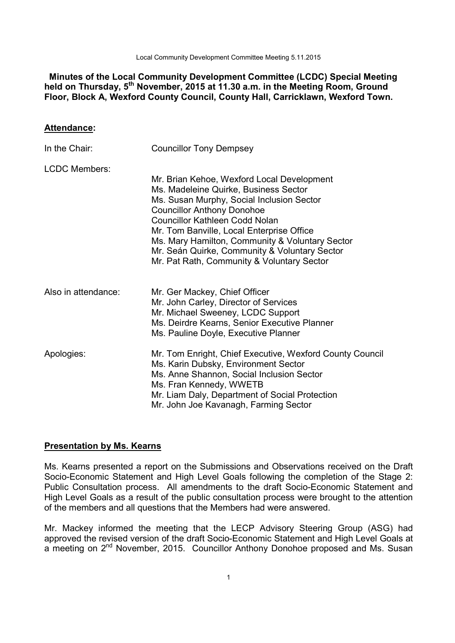Local Community Development Committee Meeting 5.11.2015

 **Minutes of the Local Community Development Committee (LCDC) Special Meeting held on Thursday, 5th November, 2015 at 11.30 a.m. in the Meeting Room, Ground Floor, Block A, Wexford County Council, County Hall, Carricklawn, Wexford Town.** 

### **Attendance:**

| In the Chair:        | <b>Councillor Tony Dempsey</b>                                                                                                                                                                                                                                                                                                                                                                                |
|----------------------|---------------------------------------------------------------------------------------------------------------------------------------------------------------------------------------------------------------------------------------------------------------------------------------------------------------------------------------------------------------------------------------------------------------|
| <b>LCDC Members:</b> | Mr. Brian Kehoe, Wexford Local Development<br>Ms. Madeleine Quirke, Business Sector<br>Ms. Susan Murphy, Social Inclusion Sector<br><b>Councillor Anthony Donohoe</b><br><b>Councillor Kathleen Codd Nolan</b><br>Mr. Tom Banville, Local Enterprise Office<br>Ms. Mary Hamilton, Community & Voluntary Sector<br>Mr. Seán Quirke, Community & Voluntary Sector<br>Mr. Pat Rath, Community & Voluntary Sector |
| Also in attendance:  | Mr. Ger Mackey, Chief Officer<br>Mr. John Carley, Director of Services<br>Mr. Michael Sweeney, LCDC Support<br>Ms. Deirdre Kearns, Senior Executive Planner<br>Ms. Pauline Doyle, Executive Planner                                                                                                                                                                                                           |
| Apologies:           | Mr. Tom Enright, Chief Executive, Wexford County Council<br>Ms. Karin Dubsky, Environment Sector<br>Ms. Anne Shannon, Social Inclusion Sector<br>Ms. Fran Kennedy, WWETB<br>Mr. Liam Daly, Department of Social Protection<br>Mr. John Joe Kavanagh, Farming Sector                                                                                                                                           |

## **Presentation by Ms. Kearns**

Ms. Kearns presented a report on the Submissions and Observations received on the Draft Socio-Economic Statement and High Level Goals following the completion of the Stage 2: Public Consultation process. All amendments to the draft Socio-Economic Statement and High Level Goals as a result of the public consultation process were brought to the attention of the members and all questions that the Members had were answered.

Mr. Mackey informed the meeting that the LECP Advisory Steering Group (ASG) had approved the revised version of the draft Socio-Economic Statement and High Level Goals at a meeting on 2nd November, 2015. Councillor Anthony Donohoe proposed and Ms. Susan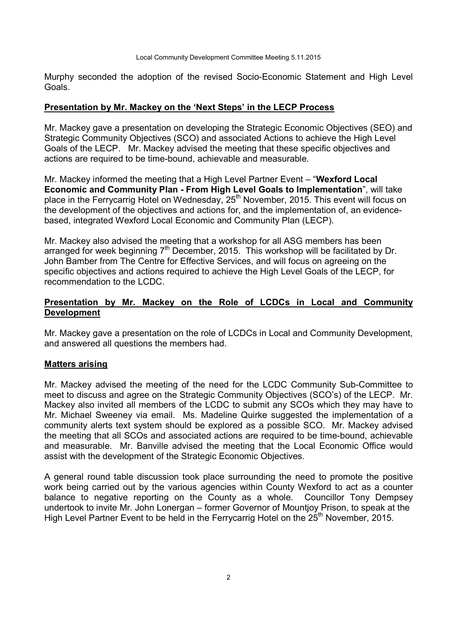Murphy seconded the adoption of the revised Socio-Economic Statement and High Level Goals.

### **Presentation by Mr. Mackey on the 'Next Steps' in the LECP Process**

Mr. Mackey gave a presentation on developing the Strategic Economic Objectives (SEO) and Strategic Community Objectives (SCO) and associated Actions to achieve the High Level Goals of the LECP. Mr. Mackey advised the meeting that these specific objectives and actions are required to be time-bound, achievable and measurable.

Mr. Mackey informed the meeting that a High Level Partner Event – "**Wexford Local Economic and Community Plan - From High Level Goals to Implementation**", will take place in the Ferrycarrig Hotel on Wednesday, 25<sup>th</sup> November, 2015. This event will focus on the development of the objectives and actions for, and the implementation of, an evidencebased, integrated Wexford Local Economic and Community Plan (LECP).

Mr. Mackey also advised the meeting that a workshop for all ASG members has been arranged for week beginning  $7<sup>th</sup>$  December, 2015. This workshop will be facilitated by Dr. John Bamber from The Centre for Effective Services, and will focus on agreeing on the specific objectives and actions required to achieve the High Level Goals of the LECP, for recommendation to the LCDC.

## **Presentation by Mr. Mackey on the Role of LCDCs in Local and Community Development**

Mr. Mackey gave a presentation on the role of LCDCs in Local and Community Development, and answered all questions the members had.

## **Matters arising**

Mr. Mackey advised the meeting of the need for the LCDC Community Sub-Committee to meet to discuss and agree on the Strategic Community Objectives (SCO's) of the LECP. Mr. Mackey also invited all members of the LCDC to submit any SCOs which they may have to Mr. Michael Sweeney via email. Ms. Madeline Quirke suggested the implementation of a community alerts text system should be explored as a possible SCO. Mr. Mackey advised the meeting that all SCOs and associated actions are required to be time-bound, achievable and measurable. Mr. Banville advised the meeting that the Local Economic Office would assist with the development of the Strategic Economic Objectives.

A general round table discussion took place surrounding the need to promote the positive work being carried out by the various agencies within County Wexford to act as a counter balance to negative reporting on the County as a whole. Councillor Tony Dempsey undertook to invite Mr. John Lonergan – former Governor of Mountjoy Prison, to speak at the High Level Partner Event to be held in the Ferrycarrig Hotel on the 25<sup>th</sup> November, 2015.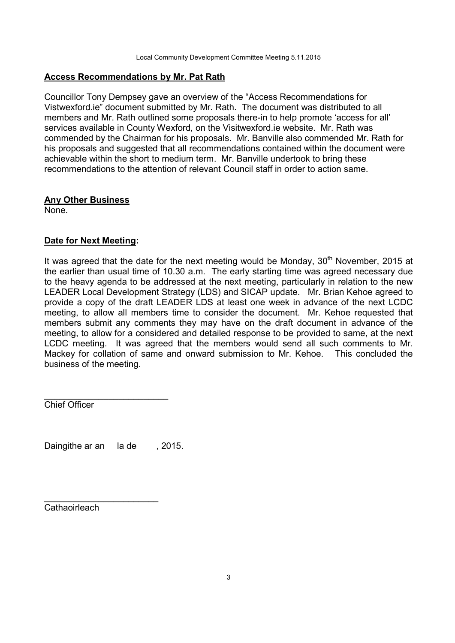## **Access Recommendations by Mr. Pat Rath**

Councillor Tony Dempsey gave an overview of the "Access Recommendations for Vistwexford.ie" document submitted by Mr. Rath. The document was distributed to all members and Mr. Rath outlined some proposals there-in to help promote 'access for all' services available in County Wexford, on the Visitwexford.ie website. Mr. Rath was commended by the Chairman for his proposals. Mr. Banville also commended Mr. Rath for his proposals and suggested that all recommendations contained within the document were achievable within the short to medium term. Mr. Banville undertook to bring these recommendations to the attention of relevant Council staff in order to action same.

## **Any Other Business**

None.

# **Date for Next Meeting:**

It was agreed that the date for the next meeting would be Monday,  $30<sup>th</sup>$  November, 2015 at the earlier than usual time of 10.30 a.m. The early starting time was agreed necessary due to the heavy agenda to be addressed at the next meeting, particularly in relation to the new LEADER Local Development Strategy (LDS) and SICAP update. Mr. Brian Kehoe agreed to provide a copy of the draft LEADER LDS at least one week in advance of the next LCDC meeting, to allow all members time to consider the document. Mr. Kehoe requested that members submit any comments they may have on the draft document in advance of the meeting, to allow for a considered and detailed response to be provided to same, at the next LCDC meeting. It was agreed that the members would send all such comments to Mr. Mackey for collation of same and onward submission to Mr. Kehoe. This concluded the business of the meeting.

Chief Officer

Daingithe ar an la de , 2015.

\_\_\_\_\_\_\_\_\_\_\_\_\_\_\_\_\_\_\_\_\_\_\_

\_\_\_\_\_\_\_\_\_\_\_\_\_\_\_\_\_\_\_\_\_\_\_\_\_

Cathaoirleach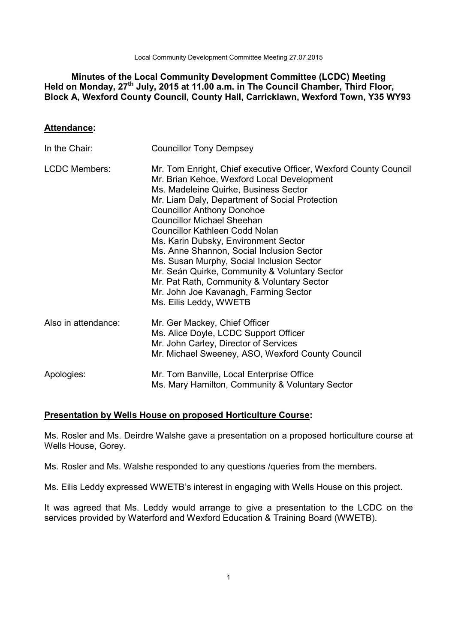Local Community Development Committee Meeting 27.07.2015

# **Minutes of the Local Community Development Committee (LCDC) Meeting Held on Monday, 27th July, 2015 at 11.00 a.m. in The Council Chamber, Third Floor, Block A, Wexford County Council, County Hall, Carricklawn, Wexford Town, Y35 WY93**

## **Attendance:**

| In the Chair:        | <b>Councillor Tony Dempsey</b>                                                                                                                                                                                                                                                                                                                                                                                                                                                                                                                                                                                                   |
|----------------------|----------------------------------------------------------------------------------------------------------------------------------------------------------------------------------------------------------------------------------------------------------------------------------------------------------------------------------------------------------------------------------------------------------------------------------------------------------------------------------------------------------------------------------------------------------------------------------------------------------------------------------|
| <b>LCDC Members:</b> | Mr. Tom Enright, Chief executive Officer, Wexford County Council<br>Mr. Brian Kehoe, Wexford Local Development<br>Ms. Madeleine Quirke, Business Sector<br>Mr. Liam Daly, Department of Social Protection<br><b>Councillor Anthony Donohoe</b><br><b>Councillor Michael Sheehan</b><br><b>Councillor Kathleen Codd Nolan</b><br>Ms. Karin Dubsky, Environment Sector<br>Ms. Anne Shannon, Social Inclusion Sector<br>Ms. Susan Murphy, Social Inclusion Sector<br>Mr. Seán Quirke, Community & Voluntary Sector<br>Mr. Pat Rath, Community & Voluntary Sector<br>Mr. John Joe Kavanagh, Farming Sector<br>Ms. Eilis Leddy, WWETB |
| Also in attendance:  | Mr. Ger Mackey, Chief Officer<br>Ms. Alice Doyle, LCDC Support Officer<br>Mr. John Carley, Director of Services<br>Mr. Michael Sweeney, ASO, Wexford County Council                                                                                                                                                                                                                                                                                                                                                                                                                                                              |
| Apologies:           | Mr. Tom Banville, Local Enterprise Office<br>Ms. Mary Hamilton, Community & Voluntary Sector                                                                                                                                                                                                                                                                                                                                                                                                                                                                                                                                     |

### **Presentation by Wells House on proposed Horticulture Course:**

Ms. Rosler and Ms. Deirdre Walshe gave a presentation on a proposed horticulture course at Wells House, Gorey.

Ms. Rosler and Ms. Walshe responded to any questions /queries from the members.

Ms. Eilis Leddy expressed WWETB's interest in engaging with Wells House on this project.

It was agreed that Ms. Leddy would arrange to give a presentation to the LCDC on the services provided by Waterford and Wexford Education & Training Board (WWETB).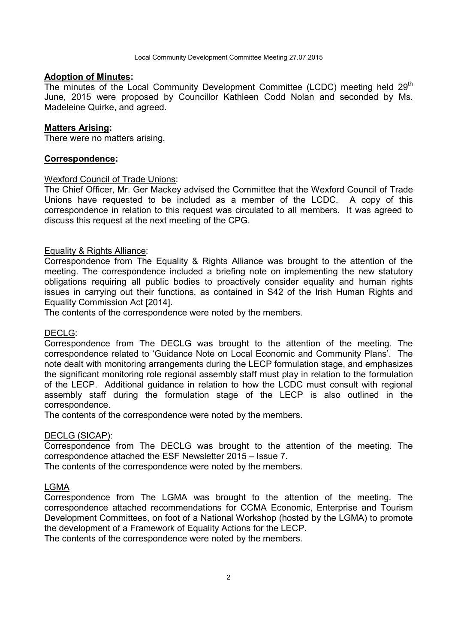#### **Adoption of Minutes:**

The minutes of the Local Community Development Committee (LCDC) meeting held  $29<sup>th</sup>$ June, 2015 were proposed by Councillor Kathleen Codd Nolan and seconded by Ms. Madeleine Quirke, and agreed.

#### **Matters Arising:**

There were no matters arising.

### **Correspondence:**

### Wexford Council of Trade Unions:

The Chief Officer, Mr. Ger Mackey advised the Committee that the Wexford Council of Trade Unions have requested to be included as a member of the LCDC. A copy of this correspondence in relation to this request was circulated to all members. It was agreed to discuss this request at the next meeting of the CPG.

#### Equality & Rights Alliance:

Correspondence from The Equality & Rights Alliance was brought to the attention of the meeting. The correspondence included a briefing note on implementing the new statutory obligations requiring all public bodies to proactively consider equality and human rights issues in carrying out their functions, as contained in S42 of the Irish Human Rights and Equality Commission Act [2014].

The contents of the correspondence were noted by the members.

#### DECLG:

Correspondence from The DECLG was brought to the attention of the meeting. The correspondence related to 'Guidance Note on Local Economic and Community Plans'. The note dealt with monitoring arrangements during the LECP formulation stage, and emphasizes the significant monitoring role regional assembly staff must play in relation to the formulation of the LECP. Additional guidance in relation to how the LCDC must consult with regional assembly staff during the formulation stage of the LECP is also outlined in the correspondence.

The contents of the correspondence were noted by the members.

#### DECLG (SICAP):

Correspondence from The DECLG was brought to the attention of the meeting. The correspondence attached the ESF Newsletter 2015 – Issue 7.

The contents of the correspondence were noted by the members.

#### LGMA

Correspondence from The LGMA was brought to the attention of the meeting. The correspondence attached recommendations for CCMA Economic, Enterprise and Tourism Development Committees, on foot of a National Workshop (hosted by the LGMA) to promote the development of a Framework of Equality Actions for the LECP.

The contents of the correspondence were noted by the members.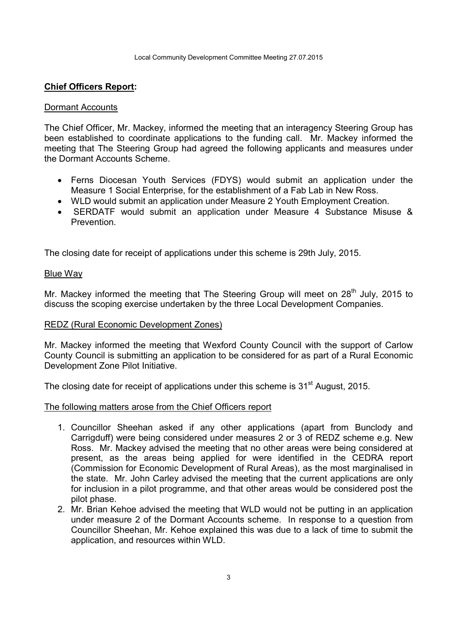## **Chief Officers Report:**

### Dormant Accounts

The Chief Officer, Mr. Mackey, informed the meeting that an interagency Steering Group has been established to coordinate applications to the funding call. Mr. Mackey informed the meeting that The Steering Group had agreed the following applicants and measures under the Dormant Accounts Scheme.

- Ferns Diocesan Youth Services (FDYS) would submit an application under the Measure 1 Social Enterprise, for the establishment of a Fab Lab in New Ross.
- WLD would submit an application under Measure 2 Youth Employment Creation.
- SERDATF would submit an application under Measure 4 Substance Misuse & Prevention.

The closing date for receipt of applications under this scheme is 29th July, 2015.

#### Blue Way

Mr. Mackey informed the meeting that The Steering Group will meet on 28<sup>th</sup> July, 2015 to discuss the scoping exercise undertaken by the three Local Development Companies.

### REDZ (Rural Economic Development Zones)

Mr. Mackey informed the meeting that Wexford County Council with the support of Carlow County Council is submitting an application to be considered for as part of a Rural Economic Development Zone Pilot Initiative.

The closing date for receipt of applications under this scheme is 31<sup>st</sup> August, 2015.

The following matters arose from the Chief Officers report

- 1. Councillor Sheehan asked if any other applications (apart from Bunclody and Carrigduff) were being considered under measures 2 or 3 of REDZ scheme e.g. New Ross. Mr. Mackey advised the meeting that no other areas were being considered at present, as the areas being applied for were identified in the CEDRA report (Commission for Economic Development of Rural Areas), as the most marginalised in the state. Mr. John Carley advised the meeting that the current applications are only for inclusion in a pilot programme, and that other areas would be considered post the pilot phase.
- 2. Mr. Brian Kehoe advised the meeting that WLD would not be putting in an application under measure 2 of the Dormant Accounts scheme. In response to a question from Councillor Sheehan, Mr. Kehoe explained this was due to a lack of time to submit the application, and resources within WLD.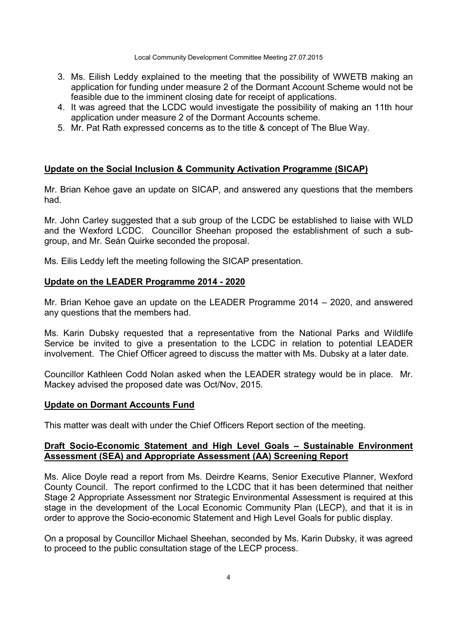Local Community Development Committee Meeting 27.07.2015

- 3. Ms. Eilish Leddy explained to the meeting that the possibility of WWETB making an application for funding under measure 2 of the Dormant Account Scheme would not be feasible due to the imminent closing date for receipt of applications.
- 4. It was agreed that the LCDC would investigate the possibility of making an 11th hour application under measure 2 of the Dormant Accounts scheme.
- 5. Mr. Pat Rath expressed concerns as to the title & concept of The Blue Way.

# **Update on the Social Inclusion & Community Activation Programme (SICAP)**

Mr. Brian Kehoe gave an update on SICAP, and answered any questions that the members had.

Mr. John Carley suggested that a sub group of the LCDC be established to liaise with WLD and the Wexford LCDC. Councillor Sheehan proposed the establishment of such a subgroup, and Mr. Seán Quirke seconded the proposal.

Ms. Eilis Leddy left the meeting following the SICAP presentation.

## **Update on the LEADER Programme 2014 - 2020**

Mr. Brian Kehoe gave an update on the LEADER Programme 2014 – 2020, and answered any questions that the members had.

Ms. Karin Dubsky requested that a representative from the National Parks and Wildlife Service be invited to give a presentation to the LCDC in relation to potential LEADER involvement. The Chief Officer agreed to discuss the matter with Ms. Dubsky at a later date.

Councillor Kathleen Codd Nolan asked when the LEADER strategy would be in place. Mr. Mackey advised the proposed date was Oct/Nov, 2015.

### **Update on Dormant Accounts Fund**

This matter was dealt with under the Chief Officers Report section of the meeting.

## **Draft Socio-Economic Statement and High Level Goals – Sustainable Environment Assessment (SEA) and Appropriate Assessment (AA) Screening Report**

Ms. Alice Doyle read a report from Ms. Deirdre Kearns, Senior Executive Planner, Wexford County Council. The report confirmed to the LCDC that it has been determined that neither Stage 2 Appropriate Assessment nor Strategic Environmental Assessment is required at this stage in the development of the Local Economic Community Plan (LECP), and that it is in order to approve the Socio-economic Statement and High Level Goals for public display.

On a proposal by Councillor Michael Sheehan, seconded by Ms. Karin Dubsky, it was agreed to proceed to the public consultation stage of the LECP process.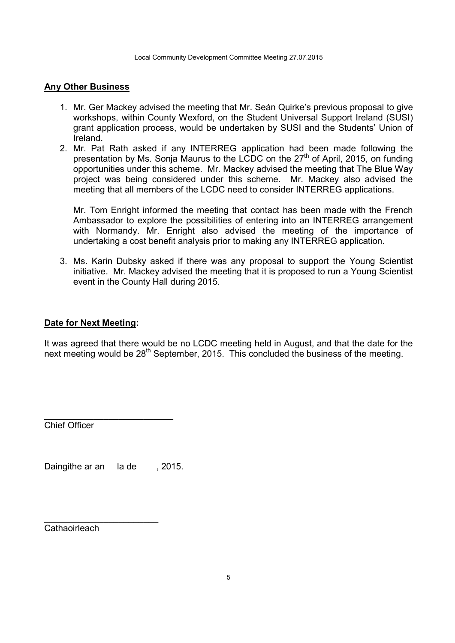## **Any Other Business**

- 1. Mr. Ger Mackey advised the meeting that Mr. Seán Quirke's previous proposal to give workshops, within County Wexford, on the Student Universal Support Ireland (SUSI) grant application process, would be undertaken by SUSI and the Students' Union of Ireland.
- 2. Mr. Pat Rath asked if any INTERREG application had been made following the presentation by Ms. Sonja Maurus to the LCDC on the 27<sup>th</sup> of April, 2015, on funding opportunities under this scheme. Mr. Mackey advised the meeting that The Blue Way project was being considered under this scheme. Mr. Mackey also advised the meeting that all members of the LCDC need to consider INTERREG applications.

Mr. Tom Enright informed the meeting that contact has been made with the French Ambassador to explore the possibilities of entering into an INTERREG arrangement with Normandy. Mr. Enright also advised the meeting of the importance of undertaking a cost benefit analysis prior to making any INTERREG application.

3. Ms. Karin Dubsky asked if there was any proposal to support the Young Scientist initiative. Mr. Mackey advised the meeting that it is proposed to run a Young Scientist event in the County Hall during 2015.

### **Date for Next Meeting:**

It was agreed that there would be no LCDC meeting held in August, and that the date for the next meeting would be 28<sup>th</sup> September, 2015. This concluded the business of the meeting.

Chief Officer

Daingithe ar an la de , 2015.

\_\_\_\_\_\_\_\_\_\_\_\_\_\_\_\_\_\_\_\_\_\_\_

\_\_\_\_\_\_\_\_\_\_\_\_\_\_\_\_\_\_\_\_\_\_\_\_\_\_

**Cathaoirleach**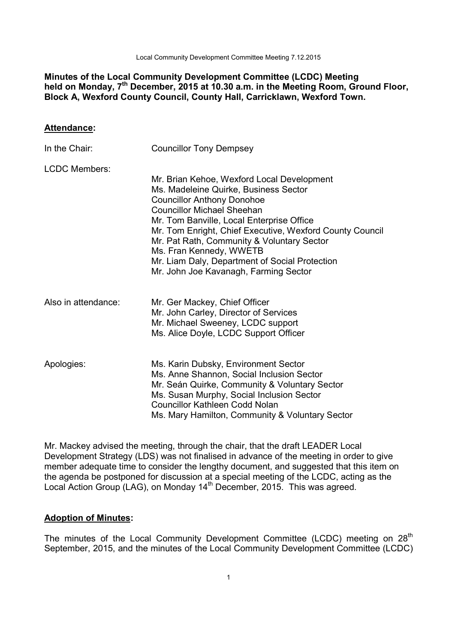Local Community Development Committee Meeting 7.12.2015

## **Minutes of the Local Community Development Committee (LCDC) Meeting held on Monday, 7th December, 2015 at 10.30 a.m. in the Meeting Room, Ground Floor, Block A, Wexford County Council, County Hall, Carricklawn, Wexford Town.**

### **Attendance:**

| In the Chair:        | <b>Councillor Tony Dempsey</b>                                                                                                                                                                                                                                                                                                                                                                                                             |
|----------------------|--------------------------------------------------------------------------------------------------------------------------------------------------------------------------------------------------------------------------------------------------------------------------------------------------------------------------------------------------------------------------------------------------------------------------------------------|
| <b>LCDC Members:</b> |                                                                                                                                                                                                                                                                                                                                                                                                                                            |
|                      | Mr. Brian Kehoe, Wexford Local Development<br>Ms. Madeleine Quirke, Business Sector<br><b>Councillor Anthony Donohoe</b><br><b>Councillor Michael Sheehan</b><br>Mr. Tom Banville, Local Enterprise Office<br>Mr. Tom Enright, Chief Executive, Wexford County Council<br>Mr. Pat Rath, Community & Voluntary Sector<br>Ms. Fran Kennedy, WWETB<br>Mr. Liam Daly, Department of Social Protection<br>Mr. John Joe Kavanagh, Farming Sector |
| Also in attendance:  | Mr. Ger Mackey, Chief Officer<br>Mr. John Carley, Director of Services<br>Mr. Michael Sweeney, LCDC support<br>Ms. Alice Doyle, LCDC Support Officer                                                                                                                                                                                                                                                                                       |
| Apologies:           | Ms. Karin Dubsky, Environment Sector<br>Ms. Anne Shannon, Social Inclusion Sector<br>Mr. Seán Quirke, Community & Voluntary Sector<br>Ms. Susan Murphy, Social Inclusion Sector<br><b>Councillor Kathleen Codd Nolan</b><br>Ms. Mary Hamilton, Community & Voluntary Sector                                                                                                                                                                |

Mr. Mackey advised the meeting, through the chair, that the draft LEADER Local Development Strategy (LDS) was not finalised in advance of the meeting in order to give member adequate time to consider the lengthy document, and suggested that this item on the agenda be postponed for discussion at a special meeting of the LCDC, acting as the Local Action Group (LAG), on Monday 14<sup>th</sup> December, 2015. This was agreed.

### **Adoption of Minutes:**

The minutes of the Local Community Development Committee (LCDC) meeting on  $28<sup>th</sup>$ September, 2015, and the minutes of the Local Community Development Committee (LCDC)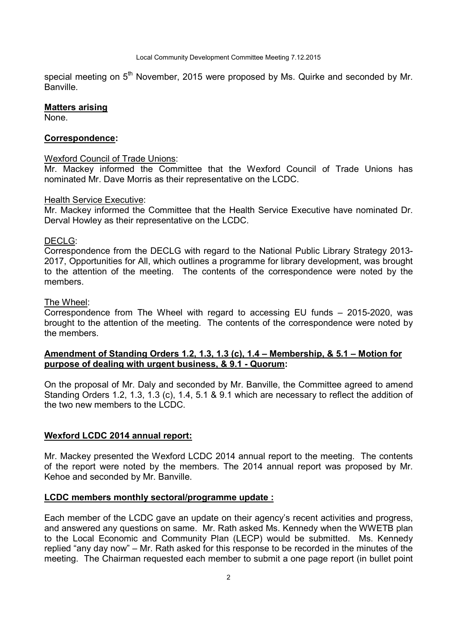special meeting on  $5<sup>th</sup>$  November, 2015 were proposed by Ms. Quirke and seconded by Mr. **Banville** 

#### **Matters arising**

None.

## **Correspondence:**

### Wexford Council of Trade Unions:

Mr. Mackey informed the Committee that the Wexford Council of Trade Unions has nominated Mr. Dave Morris as their representative on the LCDC.

### Health Service Executive:

Mr. Mackey informed the Committee that the Health Service Executive have nominated Dr. Derval Howley as their representative on the LCDC.

### DECLG:

Correspondence from the DECLG with regard to the National Public Library Strategy 2013- 2017, Opportunities for All, which outlines a programme for library development, was brought to the attention of the meeting. The contents of the correspondence were noted by the members.

#### The Wheel:

Correspondence from The Wheel with regard to accessing EU funds – 2015-2020, was brought to the attention of the meeting. The contents of the correspondence were noted by the members.

## **Amendment of Standing Orders 1.2, 1.3, 1.3 (c), 1.4 – Membership, & 5.1 – Motion for purpose of dealing with urgent business, & 9.1 - Quorum:**

On the proposal of Mr. Daly and seconded by Mr. Banville, the Committee agreed to amend Standing Orders 1.2, 1.3, 1.3 (c), 1.4, 5.1 & 9.1 which are necessary to reflect the addition of the two new members to the LCDC.

### **Wexford LCDC 2014 annual report:**

Mr. Mackey presented the Wexford LCDC 2014 annual report to the meeting. The contents of the report were noted by the members. The 2014 annual report was proposed by Mr. Kehoe and seconded by Mr. Banville.

### **LCDC members monthly sectoral/programme update :**

Each member of the LCDC gave an update on their agency's recent activities and progress, and answered any questions on same. Mr. Rath asked Ms. Kennedy when the WWETB plan to the Local Economic and Community Plan (LECP) would be submitted. Ms. Kennedy replied "any day now" – Mr. Rath asked for this response to be recorded in the minutes of the meeting. The Chairman requested each member to submit a one page report (in bullet point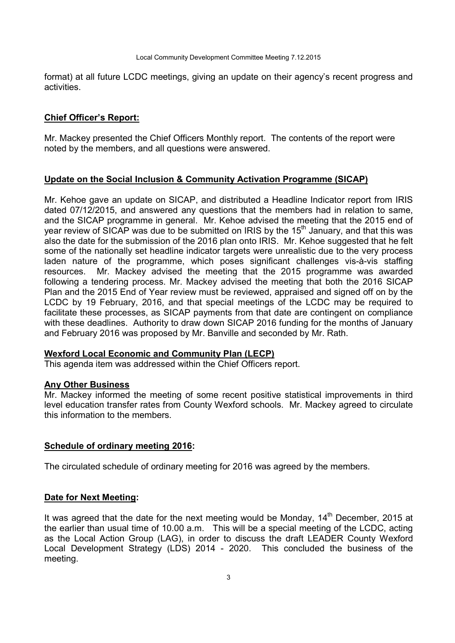format) at all future LCDC meetings, giving an update on their agency's recent progress and activities.

### **Chief Officer's Report:**

Mr. Mackey presented the Chief Officers Monthly report. The contents of the report were noted by the members, and all questions were answered.

### **Update on the Social Inclusion & Community Activation Programme (SICAP)**

Mr. Kehoe gave an update on SICAP, and distributed a Headline Indicator report from IRIS dated 07/12/2015, and answered any questions that the members had in relation to same, and the SICAP programme in general. Mr. Kehoe advised the meeting that the 2015 end of year review of SICAP was due to be submitted on IRIS by the 15<sup>th</sup> January, and that this was also the date for the submission of the 2016 plan onto IRIS. Mr. Kehoe suggested that he felt some of the nationally set headline indicator targets were unrealistic due to the very process laden nature of the programme, which poses significant challenges vis-à-vis staffing resources. Mr. Mackey advised the meeting that the 2015 programme was awarded following a tendering process. Mr. Mackey advised the meeting that both the 2016 SICAP Plan and the 2015 End of Year review must be reviewed, appraised and signed off on by the LCDC by 19 February, 2016, and that special meetings of the LCDC may be required to facilitate these processes, as SICAP payments from that date are contingent on compliance with these deadlines. Authority to draw down SICAP 2016 funding for the months of January and February 2016 was proposed by Mr. Banville and seconded by Mr. Rath.

#### **Wexford Local Economic and Community Plan (LECP)**

This agenda item was addressed within the Chief Officers report.

### **Any Other Business**

Mr. Mackey informed the meeting of some recent positive statistical improvements in third level education transfer rates from County Wexford schools. Mr. Mackey agreed to circulate this information to the members.

### **Schedule of ordinary meeting 2016:**

The circulated schedule of ordinary meeting for 2016 was agreed by the members.

#### **Date for Next Meeting:**

It was agreed that the date for the next meeting would be Monday,  $14<sup>th</sup>$  December, 2015 at the earlier than usual time of 10.00 a.m. This will be a special meeting of the LCDC, acting as the Local Action Group (LAG), in order to discuss the draft LEADER County Wexford Local Development Strategy (LDS) 2014 - 2020. This concluded the business of the meeting.